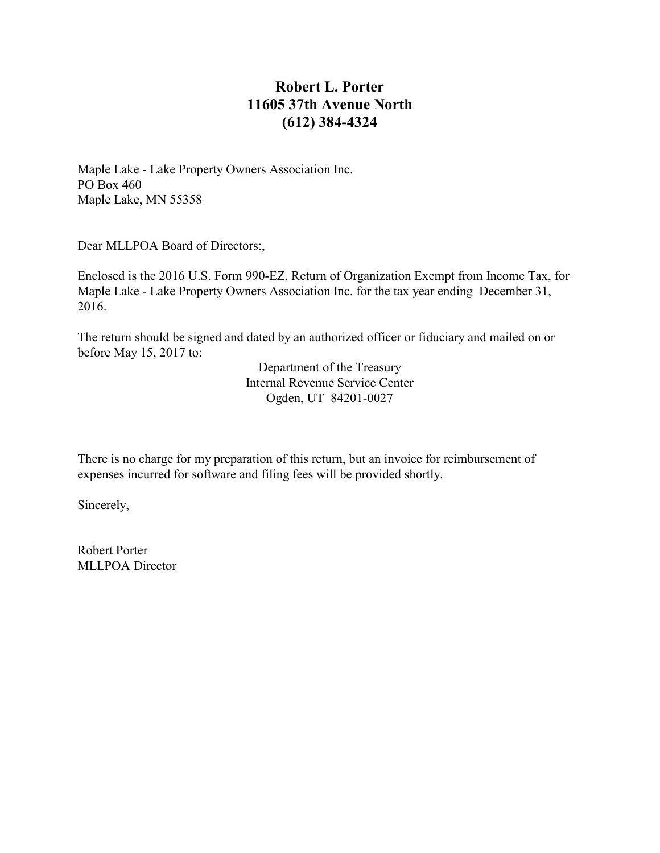# **Robert L. Porter 11605 37th Avenue North (612) 384-4324**

Maple Lake - Lake Property Owners Association Inc. PO Box 460 Maple Lake, MN 55358

Dear MLLPOA Board of Directors:,

Enclosed is the 2016 U.S. Form 990-EZ, Return of Organization Exempt from Income Tax, for Maple Lake - Lake Property Owners Association Inc. for the tax year ending December 31, 2016.

The return should be signed and dated by an authorized officer or fiduciary and mailed on or before May 15, 2017 to:

> Department of the Treasury Internal Revenue Service Center Ogden, UT 84201-0027

There is no charge for my preparation of this return, but an invoice for reimbursement of expenses incurred for software and filing fees will be provided shortly.

Sincerely,

Robert Porter MLLPOA Director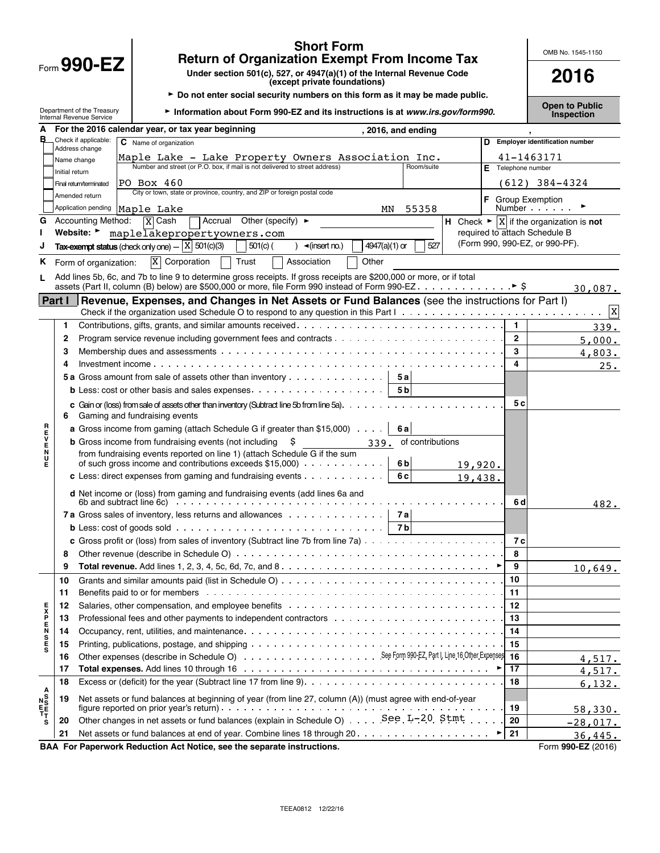|                                        |                |                                                        | <b>Short Form</b><br><b>Return of Organization Exempt From Income Tax</b>                                                                                                                                                              |                    |                        |              | OMB No. 1545-1150                                               |
|----------------------------------------|----------------|--------------------------------------------------------|----------------------------------------------------------------------------------------------------------------------------------------------------------------------------------------------------------------------------------------|--------------------|------------------------|--------------|-----------------------------------------------------------------|
|                                        |                | Form $990$ -EZ                                         | Under section 501(c), 527, or 4947(a)(1) of the Internal Revenue Code<br>(except private foundations)                                                                                                                                  |                    |                        |              | 2016                                                            |
|                                        |                |                                                        | ► Do not enter social security numbers on this form as it may be made public.                                                                                                                                                          |                    |                        |              |                                                                 |
|                                        |                | Department of the Treasury<br>Internal Revenue Service | Information about Form 990-EZ and its instructions is at www.irs.gov/form990.                                                                                                                                                          |                    |                        |              | <b>Open to Public</b><br>Inspection                             |
| A                                      |                |                                                        | For the 2016 calendar year, or tax year beginning<br>, 2016, and ending                                                                                                                                                                |                    |                        |              |                                                                 |
| в                                      |                | Check if applicable:<br>Address change                 | C Name of organization                                                                                                                                                                                                                 |                    | D                      |              | <b>Employer identification number</b>                           |
|                                        |                | Name change                                            | Maple Lake - Lake Property Owners Association Inc.                                                                                                                                                                                     |                    |                        |              | 41-1463171                                                      |
|                                        | Initial return |                                                        | Number and street (or P.O. box. if mail is not delivered to street address)<br>Room/suite                                                                                                                                              |                    | Telephone number<br>E. |              |                                                                 |
|                                        |                | Final return/terminated                                | PO Box 460                                                                                                                                                                                                                             |                    |                        |              | (612) 384-4324                                                  |
|                                        |                | Amended return                                         | City or town, state or province, country, and ZIP or foreign postal code                                                                                                                                                               |                    |                        |              | <b>F</b> Group Exemption                                        |
|                                        |                | Application pending                                    | 55358<br>Maple Lake<br>MN                                                                                                                                                                                                              |                    |                        |              | Number                                                          |
| G                                      |                | <b>Accounting Method:</b>                              | Accrual Other (specify) $\blacktriangleright$<br>$\overline{X}$ Cash                                                                                                                                                                   |                    |                        |              | H Check $\blacktriangleright$  X   if the organization is not   |
|                                        |                | Website: $\blacktriangleright$                         | maplelakepropertyowners.com                                                                                                                                                                                                            |                    |                        |              | required to attach Schedule B<br>(Form 990, 990-EZ, or 990-PF). |
|                                        |                |                                                        | Tax-exempt status (check only one) $ \boxed{X}$ 501(c)(3)<br>527<br>$501(c)$ (<br>4947(a)(1) or<br>$\triangleleft$ (insert no.)                                                                                                        |                    |                        |              |                                                                 |
| ĸ.                                     |                | Form of organization:                                  | $X$ Corporation<br>Trust<br>Association<br>Other                                                                                                                                                                                       |                    |                        |              |                                                                 |
|                                        |                |                                                        | Add lines 5b, 6c, and 7b to line 9 to determine gross receipts. If gross receipts are \$200,000 or more, or if total                                                                                                                   |                    |                        |              |                                                                 |
|                                        |                |                                                        |                                                                                                                                                                                                                                        |                    |                        |              | 30,087.                                                         |
|                                        | <b>Part I</b>  |                                                        | Revenue, Expenses, and Changes in Net Assets or Fund Balances (see the instructions for Part I)                                                                                                                                        |                    |                        |              | $\mathbf{x}$                                                    |
|                                        | 1.             |                                                        |                                                                                                                                                                                                                                        |                    |                        | 1            | 339.                                                            |
|                                        | $\mathbf{2}$   |                                                        |                                                                                                                                                                                                                                        |                    |                        | $\mathbf{2}$ | 5,000.                                                          |
|                                        | 3              |                                                        |                                                                                                                                                                                                                                        |                    |                        | 3            | 4,803.                                                          |
|                                        | 4              | Investment income                                      |                                                                                                                                                                                                                                        |                    |                        | 4            | 25.                                                             |
|                                        |                |                                                        | <b>5a</b> Gross amount from sale of assets other than inventory<br>5а                                                                                                                                                                  |                    |                        |              |                                                                 |
|                                        |                |                                                        | 5 <sub>b</sub>                                                                                                                                                                                                                         |                    |                        |              |                                                                 |
|                                        | 6              |                                                        | c Gain or (loss) from sale of assets other than inventory (Subtract line 5b from line 5a). $\dots$<br>Gaming and fundraising events                                                                                                    |                    |                        | 5с           |                                                                 |
|                                        |                |                                                        | <b>a</b> Gross income from gaming (attach Schedule G if greater than \$15,000)<br>6al                                                                                                                                                  |                    |                        |              |                                                                 |
|                                        |                |                                                        | <b>b</b> Gross income from fundraising events (not including<br>Ş<br>of contributions<br>339.                                                                                                                                          |                    |                        |              |                                                                 |
| アコンドロス                                 |                |                                                        | from fundraising events reported on line 1) (attach Schedule G if the sum<br>of such gross income and contributions exceeds \$15,000)<br>6 <sub>b</sub>                                                                                |                    |                        |              |                                                                 |
|                                        |                |                                                        | c Less: direct expenses from gaming and fundraising events $\ldots$ ,<br>6 c                                                                                                                                                           | 19,920.<br>19,438. |                        |              |                                                                 |
|                                        |                |                                                        |                                                                                                                                                                                                                                        |                    |                        |              |                                                                 |
|                                        |                |                                                        | d Net income or (loss) from gaming and fundraising events (add lines 6a and<br>6b and subtract line $6c$ $\ldots$ $\ldots$ $\ldots$ $\ldots$ $\ldots$ $\ldots$ $\ldots$<br>7a Gross sales of inventory, less returns and allowances 7a |                    |                        | 6 d          | 482.                                                            |
|                                        |                |                                                        | <b>b</b> Less: cost of goods sold $\ldots \ldots \ldots \ldots \ldots \ldots \ldots \ldots \ldots \ldots \ldots$<br>7 b                                                                                                                |                    |                        |              |                                                                 |
|                                        |                |                                                        |                                                                                                                                                                                                                                        |                    |                        | 7с           |                                                                 |
|                                        | 8              |                                                        |                                                                                                                                                                                                                                        |                    |                        | 8            |                                                                 |
|                                        | 9              |                                                        |                                                                                                                                                                                                                                        |                    |                        | 9            | 10,649.                                                         |
|                                        | 10             |                                                        |                                                                                                                                                                                                                                        |                    | 10                     |              |                                                                 |
|                                        | 11             |                                                        | Benefits paid to or for members enters and the context of the context of the context of the context of the context of the context of the context of the context of the context of the context of the context of the context of         |                    | 11                     |              |                                                                 |
|                                        | 12             |                                                        |                                                                                                                                                                                                                                        |                    | 12                     |              |                                                                 |
|                                        | 13             |                                                        | Professional fees and other payments to independent contractors with the state of the state of the state of the                                                                                                                        |                    | 13                     |              |                                                                 |
| <b>000200XE</b>                        | 14             |                                                        |                                                                                                                                                                                                                                        |                    | 14                     |              |                                                                 |
|                                        | 15             |                                                        |                                                                                                                                                                                                                                        |                    | 15                     |              |                                                                 |
|                                        | 16             |                                                        |                                                                                                                                                                                                                                        |                    |                        |              | 4,517.                                                          |
|                                        | 17             |                                                        |                                                                                                                                                                                                                                        |                    | 17                     |              | 4,517.                                                          |
|                                        | 18             |                                                        |                                                                                                                                                                                                                                        |                    | 18                     |              | 6,132.                                                          |
| A<br>N <sub>ES</sub><br>T <sub>T</sub> | 19             |                                                        | Net assets or fund balances at beginning of year (from line 27, column (A)) (must agree with end-of-year                                                                                                                               |                    |                        |              |                                                                 |
|                                        |                |                                                        | Other changes in net assets or fund balances (explain in Schedule O) See L-20 Stmt                                                                                                                                                     |                    | 19                     |              | <u>58,330.</u>                                                  |
| s                                      | 20<br>21       |                                                        |                                                                                                                                                                                                                                        |                    | 20<br>21               |              | $-28,017.$                                                      |
|                                        |                |                                                        | BAA For Paperwork Reduction Act Notice, see the separate instructions.                                                                                                                                                                 |                    |                        |              | 36,445.<br>Form 990-EZ (2016)                                   |

TEEA0812 12/22/16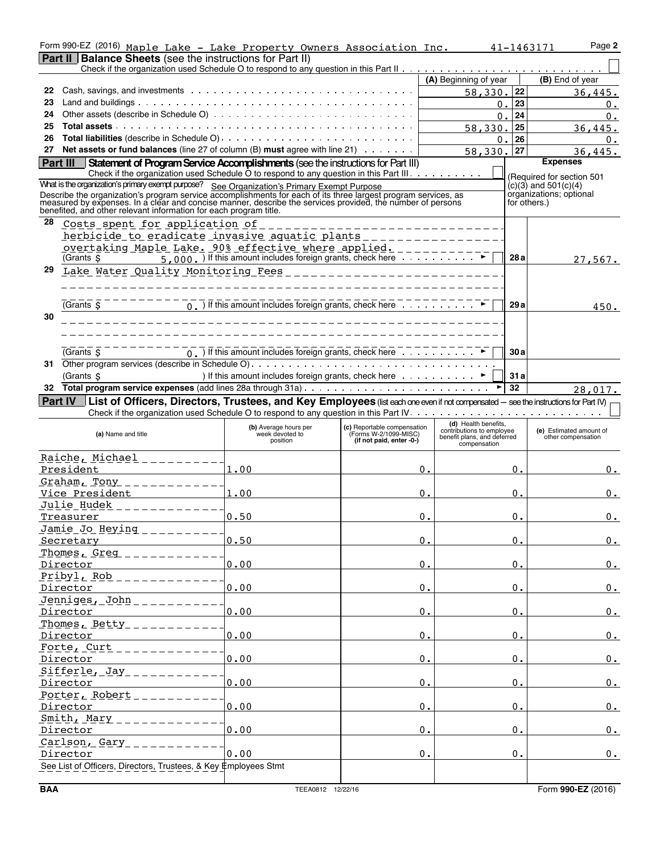|          | Form 990-EZ (2016) Maple Lake - Lake Property Owners Association Inc.                                                                                                                                                                |                                                                                                                                                                                                                               |                                                      |                                                          | 41-1463171       |                    | Page 2                                              |
|----------|--------------------------------------------------------------------------------------------------------------------------------------------------------------------------------------------------------------------------------------|-------------------------------------------------------------------------------------------------------------------------------------------------------------------------------------------------------------------------------|------------------------------------------------------|----------------------------------------------------------|------------------|--------------------|-----------------------------------------------------|
|          | <b>Part II   Balance Sheets</b> (see the instructions for Part II)                                                                                                                                                                   |                                                                                                                                                                                                                               |                                                      |                                                          |                  |                    |                                                     |
|          |                                                                                                                                                                                                                                      |                                                                                                                                                                                                                               |                                                      | (A) Beginning of year                                    |                  |                    | (B) End of year                                     |
| 22       |                                                                                                                                                                                                                                      |                                                                                                                                                                                                                               |                                                      | 58,330.                                                  |                  | 22                 | 36,445.                                             |
| 23       |                                                                                                                                                                                                                                      |                                                                                                                                                                                                                               |                                                      |                                                          | $\mathbf 0$ .    | 23                 |                                                     |
| 24       |                                                                                                                                                                                                                                      |                                                                                                                                                                                                                               |                                                      |                                                          |                  | 24                 | 0.                                                  |
| 25       |                                                                                                                                                                                                                                      |                                                                                                                                                                                                                               |                                                      |                                                          | $\overline{0}$ . |                    | 0.                                                  |
|          |                                                                                                                                                                                                                                      |                                                                                                                                                                                                                               |                                                      | 58,330.                                                  |                  | 25                 | 36,445.                                             |
| 26       | <b>Total liabilities</b> (describe in Schedule O)                                                                                                                                                                                    |                                                                                                                                                                                                                               |                                                      |                                                          | 0.               | 26                 | 0.                                                  |
| 27       | Net assets or fund balances (line 27 of column (B) must agree with line 21)                                                                                                                                                          |                                                                                                                                                                                                                               |                                                      | 58,330.                                                  |                  | 27                 | 36.445.                                             |
| Part III | Statement of Program Service Accomplishments (see the instructions for Part III)                                                                                                                                                     |                                                                                                                                                                                                                               |                                                      |                                                          |                  |                    | <b>Expenses</b>                                     |
|          | Check if the organization used Schedule O to respond to any question in this Part III.                                                                                                                                               |                                                                                                                                                                                                                               |                                                      |                                                          |                  |                    | (Required for section 501                           |
|          | What is the organization's primary exempt purpose? See Organization's Primary Exempt Purpose                                                                                                                                         |                                                                                                                                                                                                                               |                                                      |                                                          |                  |                    | $(c)(3)$ and $501(c)(4)$<br>organizations; optional |
|          | Describe the organization's program service accomplishments for each of its three largest program services, as<br>measured by expenses. In a clear and concise manner, describe the services provided, the number of persons<br>bene |                                                                                                                                                                                                                               |                                                      |                                                          |                  | for others.)       |                                                     |
|          |                                                                                                                                                                                                                                      |                                                                                                                                                                                                                               |                                                      |                                                          |                  |                    |                                                     |
| 28       | Costs spent for application of                                                                                                                                                                                                       |                                                                                                                                                                                                                               |                                                      |                                                          |                  |                    |                                                     |
|          | herbicide to eradicate invasive aquatic plants                                                                                                                                                                                       |                                                                                                                                                                                                                               |                                                      | <u>.</u>                                                 |                  |                    |                                                     |
|          | overtaking Maple Lake. 90% effective where applied. ________                                                                                                                                                                         |                                                                                                                                                                                                                               |                                                      |                                                          |                  |                    |                                                     |
|          | Grants \$                                                                                                                                                                                                                            | $\overline{5,000}$ . If this amount includes foreign grants, check here $\overline{1,1}$ , $\overline{1,1}$ , $\overline{1,1}$                                                                                                |                                                      |                                                          |                  | 28a                | 27,567.                                             |
| 29       |                                                                                                                                                                                                                                      |                                                                                                                                                                                                                               |                                                      |                                                          |                  |                    |                                                     |
|          |                                                                                                                                                                                                                                      |                                                                                                                                                                                                                               |                                                      |                                                          |                  |                    |                                                     |
|          |                                                                                                                                                                                                                                      |                                                                                                                                                                                                                               |                                                      |                                                          |                  |                    |                                                     |
|          | (Grants \$                                                                                                                                                                                                                           | $\overline{0}$ .) If this amount includes foreign grants, check here                                                                                                                                                          |                                                      |                                                          |                  | 29a                | 450.                                                |
| 30       |                                                                                                                                                                                                                                      |                                                                                                                                                                                                                               |                                                      |                                                          |                  |                    |                                                     |
|          |                                                                                                                                                                                                                                      |                                                                                                                                                                                                                               |                                                      |                                                          |                  |                    |                                                     |
|          |                                                                                                                                                                                                                                      |                                                                                                                                                                                                                               |                                                      |                                                          |                  |                    |                                                     |
|          | (Grants S                                                                                                                                                                                                                            | $\overline{0}$ . If this amount includes foreign grants, check here                                                                                                                                                           |                                                      |                                                          |                  | 30a                |                                                     |
|          |                                                                                                                                                                                                                                      |                                                                                                                                                                                                                               |                                                      |                                                          |                  |                    |                                                     |
|          | (Grants \$                                                                                                                                                                                                                           | ) If this amount includes foreign grants, check here (a) and a set of the best of the best of the best of the best of the best of the best of the best of the best of the best of the best of the best of the best of the bes |                                                      |                                                          |                  | 31a                |                                                     |
| 32       |                                                                                                                                                                                                                                      |                                                                                                                                                                                                                               |                                                      |                                                          |                  | 32                 | 28,017.                                             |
| Part IV  | List of Officers, Directors, Trustees, and Key Employees (list each one even if not compensated - see the instructions for Part IV)                                                                                                  |                                                                                                                                                                                                                               |                                                      |                                                          |                  |                    |                                                     |
|          |                                                                                                                                                                                                                                      |                                                                                                                                                                                                                               |                                                      |                                                          |                  |                    |                                                     |
|          |                                                                                                                                                                                                                                      |                                                                                                                                                                                                                               |                                                      | (d) Health benefits,                                     |                  |                    |                                                     |
|          | (a) Name and title                                                                                                                                                                                                                   | (b) Average hours per<br>week devoted to                                                                                                                                                                                      | (c) Reportable compensation<br>(Forms W-2/1099-MISC) | contributions to employee<br>benefit plans, and deferred |                  |                    | (e) Estimated amount of<br>other compensation       |
|          |                                                                                                                                                                                                                                      | position                                                                                                                                                                                                                      | (if not paid, enter -0-)                             | compensation                                             |                  |                    |                                                     |
|          | <u>Raiche, Michael</u>                                                                                                                                                                                                               |                                                                                                                                                                                                                               |                                                      |                                                          |                  |                    |                                                     |
|          | President                                                                                                                                                                                                                            | 1.00                                                                                                                                                                                                                          |                                                      | о.                                                       |                  | 0.                 | 0.                                                  |
|          | Graham, Tony                                                                                                                                                                                                                         |                                                                                                                                                                                                                               |                                                      |                                                          |                  |                    |                                                     |
|          | Vice President                                                                                                                                                                                                                       | 1.00                                                                                                                                                                                                                          |                                                      | 0.                                                       |                  | 0.                 | 0.                                                  |
|          | Julie Hudek                                                                                                                                                                                                                          |                                                                                                                                                                                                                               |                                                      |                                                          |                  |                    |                                                     |
|          | Treasurer                                                                                                                                                                                                                            | 0.50                                                                                                                                                                                                                          |                                                      | 0.                                                       |                  | 0.                 | 0.                                                  |
|          | <u>Jamie Jo Heying</u>                                                                                                                                                                                                               |                                                                                                                                                                                                                               |                                                      |                                                          |                  |                    |                                                     |
|          | Secretary                                                                                                                                                                                                                            | 0.50                                                                                                                                                                                                                          |                                                      | 0.                                                       |                  | 0.                 | 0.                                                  |
|          | Thomes, Greg                                                                                                                                                                                                                         |                                                                                                                                                                                                                               |                                                      |                                                          |                  |                    |                                                     |
|          | Director                                                                                                                                                                                                                             | 0.00                                                                                                                                                                                                                          |                                                      | $0$ .                                                    |                  | 0.                 | 0.                                                  |
|          | Pribyl, Rob                                                                                                                                                                                                                          |                                                                                                                                                                                                                               |                                                      |                                                          |                  |                    |                                                     |
|          | Director                                                                                                                                                                                                                             | 0.00                                                                                                                                                                                                                          |                                                      | 0.                                                       |                  | 0.                 | 0.                                                  |
|          | Jenniges, John                                                                                                                                                                                                                       |                                                                                                                                                                                                                               |                                                      |                                                          |                  |                    |                                                     |
|          | Director                                                                                                                                                                                                                             | 0.00                                                                                                                                                                                                                          |                                                      | 0.                                                       |                  | 0.                 | $0$ .                                               |
|          | Thomes, Betty                                                                                                                                                                                                                        |                                                                                                                                                                                                                               |                                                      |                                                          |                  |                    |                                                     |
|          | Director                                                                                                                                                                                                                             | 0.00                                                                                                                                                                                                                          |                                                      | 0.                                                       |                  | 0.                 | 0.                                                  |
|          |                                                                                                                                                                                                                                      |                                                                                                                                                                                                                               |                                                      |                                                          |                  |                    |                                                     |
|          | Forte, Curt                                                                                                                                                                                                                          |                                                                                                                                                                                                                               |                                                      |                                                          |                  |                    |                                                     |
|          | Director                                                                                                                                                                                                                             | 0.00                                                                                                                                                                                                                          |                                                      | 0.                                                       |                  | 0.                 | 0.                                                  |
|          | Sifferle, Jay                                                                                                                                                                                                                        |                                                                                                                                                                                                                               |                                                      |                                                          |                  |                    |                                                     |
|          | Director                                                                                                                                                                                                                             | 0.00                                                                                                                                                                                                                          |                                                      | 0.                                                       |                  | 0.                 | 0.                                                  |
|          | Porter, Robert                                                                                                                                                                                                                       |                                                                                                                                                                                                                               |                                                      |                                                          |                  |                    |                                                     |
|          | Director                                                                                                                                                                                                                             | 0.00                                                                                                                                                                                                                          |                                                      | $0$ .                                                    |                  | $\boldsymbol{0}$ . | 0.                                                  |
|          | Smith, Mary                                                                                                                                                                                                                          |                                                                                                                                                                                                                               |                                                      |                                                          |                  |                    |                                                     |
|          | Director                                                                                                                                                                                                                             | 0.00                                                                                                                                                                                                                          |                                                      | 0.                                                       |                  | 0.                 | $0$ .                                               |
|          | Carlson, Gary                                                                                                                                                                                                                        |                                                                                                                                                                                                                               |                                                      |                                                          |                  |                    |                                                     |
|          |                                                                                                                                                                                                                                      |                                                                                                                                                                                                                               |                                                      |                                                          |                  |                    |                                                     |
|          | Director                                                                                                                                                                                                                             | 0.00                                                                                                                                                                                                                          |                                                      | 0.                                                       |                  | 0.                 | 0.                                                  |
|          | See List of Officers, Directors, Trustees, & Key Employees Stmt                                                                                                                                                                      |                                                                                                                                                                                                                               |                                                      |                                                          |                  |                    |                                                     |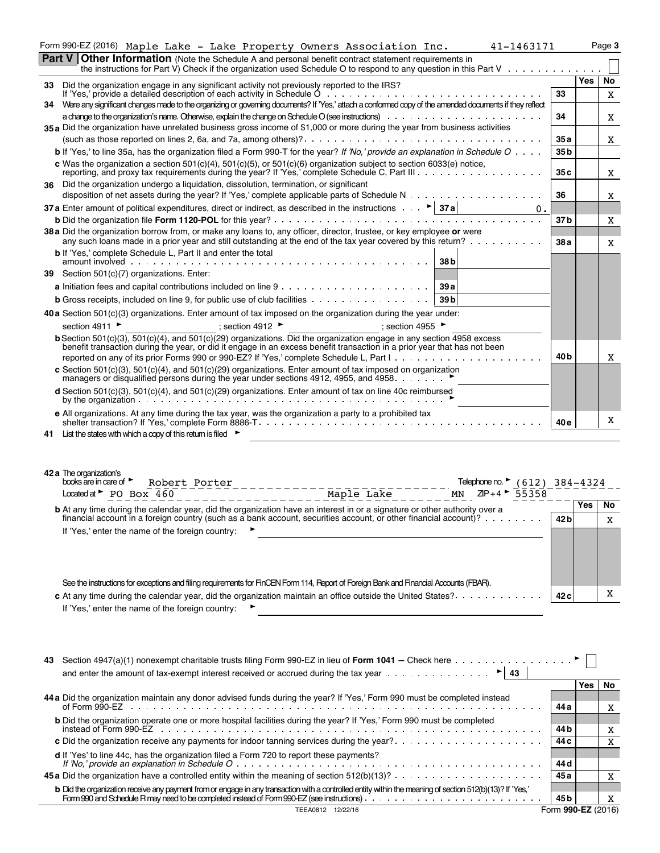|     | Form 990-EZ (2016) Maple Lake - Lake Property Owners Association Inc.<br>41-1463171                                                                                                                                                                                                                                                                      |                 |            | Page 3   |
|-----|----------------------------------------------------------------------------------------------------------------------------------------------------------------------------------------------------------------------------------------------------------------------------------------------------------------------------------------------------------|-----------------|------------|----------|
|     | <b>Part V Other Information</b> (Note the Schedule A and personal benefit contract statement requirements in<br>the instructions for Part V) Check if the organization used Schedule O to respond to any question in this Part V                                                                                                                         |                 |            |          |
|     |                                                                                                                                                                                                                                                                                                                                                          |                 | <b>Yes</b> | No       |
| 33. | Did the organization engage in any significant activity not previously reported to the IRS?<br>If 'Yes,' provide a detailed description of each activity in Schedule $0, \ldots, \ldots, \ldots$                                                                                                                                                         | 33              |            | X        |
|     | 34 Were any significant changes made to the organizing or governing documents? If 'Yes,' attach a conformed copy of the amended documents if they reflect                                                                                                                                                                                                |                 |            |          |
|     |                                                                                                                                                                                                                                                                                                                                                          | 34              |            | X        |
|     | 35 a Did the organization have unrelated business gross income of \$1,000 or more during the year from business activities                                                                                                                                                                                                                               | 35 a            |            |          |
|     | <b>b</b> If 'Yes,' to line 35a, has the organization filed a Form 990-T for the year? If 'No,' provide an explanation in Schedule $O \ldots$ .                                                                                                                                                                                                           | 35 <sub>b</sub> |            | X        |
|     | c Was the organization a section $501(c)(4)$ , $501(c)(5)$ , or $501(c)(6)$ organization subject to section 6033(e) notice,                                                                                                                                                                                                                              |                 |            |          |
|     | reporting, and proxy tax requirements during the year? If 'Yes,' complete Schedule C, Part III                                                                                                                                                                                                                                                           | 35 c            |            | X        |
| 36  | Did the organization undergo a liquidation, dissolution, termination, or significant                                                                                                                                                                                                                                                                     | 36              |            | X        |
|     | 37 a Enter amount of political expenditures, direct or indirect, as described in the instructions $\ldots$ $\blacktriangleright$ 37 a<br>0.                                                                                                                                                                                                              |                 |            |          |
|     |                                                                                                                                                                                                                                                                                                                                                          | 37 b            |            | X        |
|     | 38 a Did the organization borrow from, or make any loans to, any officer, director, trustee, or key employee or were                                                                                                                                                                                                                                     |                 |            |          |
|     | any such loans made in a prior year and still outstanding at the end of the tax year covered by this return?<br><b>b</b> If 'Yes.' complete Schedule L. Part II and enter the total                                                                                                                                                                      | 38 a            |            | X        |
|     | amount involved entertainment and the set of the set of the set of the set of the set of the set of the set of<br>de la caractería de la caractería de la caractería de la caractería de la caractería de la caractería de la caractería de la caractería de la caractería de la caractería de la caractería de la caractería de la caractería d<br>38 b |                 |            |          |
|     | 39 Section 501(c)(7) organizations. Enter:                                                                                                                                                                                                                                                                                                               |                 |            |          |
|     | 39 a                                                                                                                                                                                                                                                                                                                                                     |                 |            |          |
|     | <b>b</b> Gross receipts, included on line 9, for public use of club facilities<br>39 <sub>b</sub>                                                                                                                                                                                                                                                        |                 |            |          |
|     | 40 a Section 501(c)(3) organizations. Enter amount of tax imposed on the organization during the year under:                                                                                                                                                                                                                                             |                 |            |          |
|     | section 4911 ▶<br>; section 4912<br>; section 4955<br><b>b</b> Section 501(c)(3), 501(c)(4), and 501(c)(29) organizations. Did the organization engage in any section $\overline{4958}$ excess                                                                                                                                                           |                 |            |          |
|     | benefit transaction during the year, or did it engage in an excess benefit transaction in a prior year that has not been                                                                                                                                                                                                                                 |                 |            |          |
|     |                                                                                                                                                                                                                                                                                                                                                          | 40 b            |            | X        |
|     | c Section 501(c)(3), 501(c)(4), and 501(c)(29) organizations. Enter amount of tax imposed on organization<br>managers or disqualified persons during the year under sections 4912, 4955, and 4958.                                                                                                                                                       |                 |            |          |
|     | <b>d</b> Section 501(c)(3), 501(c)(4), and 501(c)(29) organizations. Enter amount of tax on line 40c reimbursed                                                                                                                                                                                                                                          |                 |            |          |
|     |                                                                                                                                                                                                                                                                                                                                                          |                 |            |          |
|     | e All organizations. At any time during the tax year, was the organization a party to a prohibited tax                                                                                                                                                                                                                                                   | 40 e            |            | X        |
| 41  | List the states with which a copy of this return is filed $\blacktriangleright$                                                                                                                                                                                                                                                                          |                 |            |          |
|     |                                                                                                                                                                                                                                                                                                                                                          |                 |            |          |
|     |                                                                                                                                                                                                                                                                                                                                                          |                 |            |          |
|     | 42 a The organization's<br>books are in care of $\blacktriangleright$                                                                                                                                                                                                                                                                                    |                 |            |          |
|     | Robert Porter<br>Telephone no. $\triangleright$ (612) 384-4324<br>Located at $\blacktriangleright$ PO Box 460<br>$ZIP + 4$ 55358<br>Maple Lake<br>MN                                                                                                                                                                                                     |                 |            |          |
|     | b At any time during the calendar year, did the organization have an interest in or a signature or other authority over a                                                                                                                                                                                                                                |                 | Yes        | No       |
|     | financial account in a foreign country (such as a bank account, securities account, or other financial account)?                                                                                                                                                                                                                                         | 42 b            |            | X        |
|     | If 'Yes,' enter the name of the foreign country:                                                                                                                                                                                                                                                                                                         |                 |            |          |
|     |                                                                                                                                                                                                                                                                                                                                                          |                 |            |          |
|     |                                                                                                                                                                                                                                                                                                                                                          |                 |            |          |
|     |                                                                                                                                                                                                                                                                                                                                                          |                 |            |          |
|     | See the instructions for exceptions and filing requirements for FinCEN Form 114, Report of Foreign Bank and Financial Accounts (FBAR).                                                                                                                                                                                                                   |                 |            | X        |
|     | c At any time during the calendar year, did the organization maintain an office outside the United States?.<br>If 'Yes,' enter the name of the foreign country:                                                                                                                                                                                          | 42 c            |            |          |
|     | <u> 1989 - Johann Stein, fransk politik (f. 1989)</u>                                                                                                                                                                                                                                                                                                    |                 |            |          |
|     |                                                                                                                                                                                                                                                                                                                                                          |                 |            |          |
|     |                                                                                                                                                                                                                                                                                                                                                          |                 |            |          |
| 43  | Section 4947(a)(1) nonexempt charitable trusts filing Form 990-EZ in lieu of Form 1041 – Check here $\dots \dots \dots \dots \dots$                                                                                                                                                                                                                      |                 |            |          |
|     | and enter the amount of tax-exempt interest received or accrued during the tax year $\dots \dots \dots \dots \dots$                                                                                                                                                                                                                                      |                 |            |          |
|     |                                                                                                                                                                                                                                                                                                                                                          |                 | Yes        | No       |
|     | 44 a Did the organization maintain any donor advised funds during the year? If 'Yes,' Form 990 must be completed instead<br>of Form 990-EZ<br>experiences in the state of the state of Form 990-EZ                                                                                                                                                       | 44 a            |            | X        |
|     |                                                                                                                                                                                                                                                                                                                                                          |                 |            |          |
|     |                                                                                                                                                                                                                                                                                                                                                          | 44 b            |            | X        |
|     | c Did the organization receive any payments for indoor tanning services during the year?                                                                                                                                                                                                                                                                 | 44 c            |            | <b>Y</b> |

|                                                                                                                                                                                                                                        | – –  |  |  |  |
|----------------------------------------------------------------------------------------------------------------------------------------------------------------------------------------------------------------------------------------|------|--|--|--|
| d If 'Yes' to line 44c, has the organization filed a Form 720 to report these payments?                                                                                                                                                |      |  |  |  |
|                                                                                                                                                                                                                                        | 44 d |  |  |  |
|                                                                                                                                                                                                                                        | 45 a |  |  |  |
|                                                                                                                                                                                                                                        |      |  |  |  |
| <b>b</b> Did the organization receive any payment from or engage in any transaction with a controlled entity within the meaning of section 512(b)(13)? If 'Yes,'<br>Form 990 and Schedule R may need to be completed instead of Form 9 | 45 b |  |  |  |
| TEEA0812 12/22/16                                                                                                                                                                                                                      |      |  |  |  |
|                                                                                                                                                                                                                                        |      |  |  |  |

X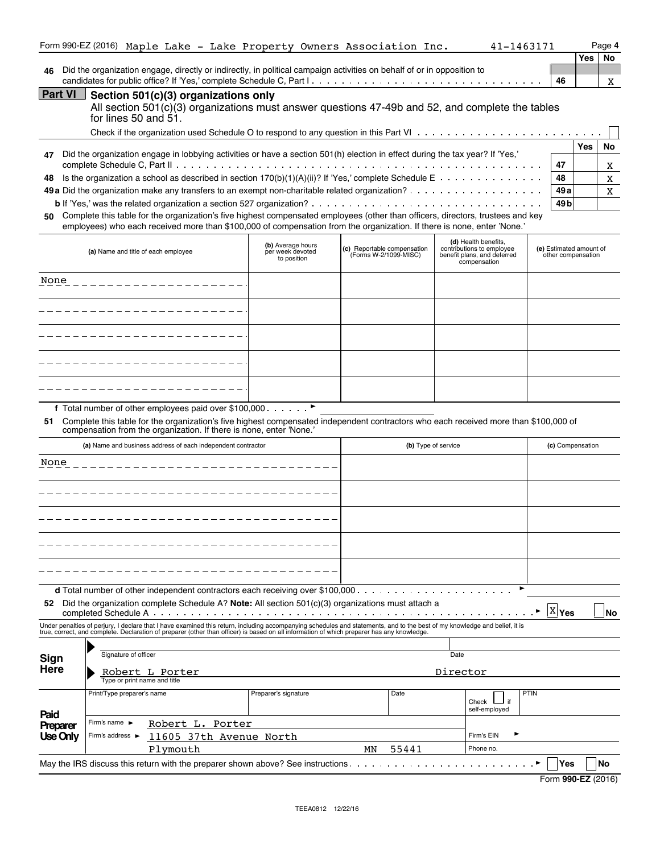|                  | Form 990-EZ (2016) Maple Lake - Lake Property Owners Association Inc.                                                                                                                                                                                                                                                    |                                                      |                                                      | 41-1463171                                                                                       |                                               | Page 4     |           |
|------------------|--------------------------------------------------------------------------------------------------------------------------------------------------------------------------------------------------------------------------------------------------------------------------------------------------------------------------|------------------------------------------------------|------------------------------------------------------|--------------------------------------------------------------------------------------------------|-----------------------------------------------|------------|-----------|
|                  |                                                                                                                                                                                                                                                                                                                          |                                                      |                                                      |                                                                                                  |                                               | <b>Yes</b> | No        |
| 46               | Did the organization engage, directly or indirectly, in political campaign activities on behalf of or in opposition to                                                                                                                                                                                                   |                                                      |                                                      |                                                                                                  | 46                                            |            | X         |
| <b>Part VI</b>   | Section 501(c)(3) organizations only<br>All section 501(c)(3) organizations must answer questions 47-49b and 52, and complete the tables<br>for lines 50 and $51$ .                                                                                                                                                      |                                                      |                                                      |                                                                                                  |                                               |            |           |
|                  |                                                                                                                                                                                                                                                                                                                          |                                                      |                                                      |                                                                                                  |                                               |            |           |
| 47               | Did the organization engage in lobbying activities or have a section 501(h) election in effect during the tax year? If 'Yes,'                                                                                                                                                                                            |                                                      |                                                      |                                                                                                  | 47                                            | Yes        | No<br>Χ   |
| 48               | Is the organization a school as described in section 170(b)(1)(A)(ii)? If 'Yes,' complete Schedule $E \ldots \ldots \ldots \ldots$                                                                                                                                                                                       |                                                      |                                                      |                                                                                                  | 48                                            |            | X         |
|                  |                                                                                                                                                                                                                                                                                                                          |                                                      |                                                      |                                                                                                  | 49 a                                          |            | X         |
| 50               | Complete this table for the organization's five highest compensated employees (other than officers, directors, trustees and key<br>employees) who each received more than \$100,000 of compensation from the organization. If there is none, enter 'None.'                                                               |                                                      |                                                      |                                                                                                  | 49 b                                          |            |           |
|                  | (a) Name and title of each employee                                                                                                                                                                                                                                                                                      | (b) Average hours<br>per week devoted<br>to position | (c) Reportable compensation<br>(Forms W-2/1099-MISC) | (d) Health benefits,<br>contributions to employee<br>benefit plans, and deferred<br>compensation | (e) Estimated amount of<br>other compensation |            |           |
| None             | _______________________                                                                                                                                                                                                                                                                                                  |                                                      |                                                      |                                                                                                  |                                               |            |           |
|                  |                                                                                                                                                                                                                                                                                                                          |                                                      |                                                      |                                                                                                  |                                               |            |           |
|                  |                                                                                                                                                                                                                                                                                                                          |                                                      |                                                      |                                                                                                  |                                               |            |           |
|                  | ________________                                                                                                                                                                                                                                                                                                         |                                                      |                                                      |                                                                                                  |                                               |            |           |
|                  |                                                                                                                                                                                                                                                                                                                          |                                                      |                                                      |                                                                                                  |                                               |            |           |
| 51.              | f Total number of other employees paid over \$100,000. ▶<br>Complete this table for the organization's five highest compensated independent contractors who each received more than \$100,000 of compensation from the organization. If there is none, enter 'None.'                                                     |                                                      |                                                      |                                                                                                  |                                               |            |           |
|                  | (a) Name and business address of each independent contractor                                                                                                                                                                                                                                                             |                                                      |                                                      | (b) Type of service                                                                              | (c) Compensation                              |            |           |
| None             |                                                                                                                                                                                                                                                                                                                          |                                                      |                                                      |                                                                                                  |                                               |            |           |
|                  |                                                                                                                                                                                                                                                                                                                          |                                                      |                                                      |                                                                                                  |                                               |            |           |
|                  |                                                                                                                                                                                                                                                                                                                          |                                                      |                                                      |                                                                                                  |                                               |            |           |
|                  |                                                                                                                                                                                                                                                                                                                          |                                                      |                                                      |                                                                                                  |                                               |            |           |
|                  |                                                                                                                                                                                                                                                                                                                          |                                                      |                                                      |                                                                                                  |                                               |            |           |
| 52               | Did the organization complete Schedule A? Note: All section $501(c)(3)$ organizations must attach a                                                                                                                                                                                                                      |                                                      |                                                      |                                                                                                  | <b>X</b> Yes                                  |            | <b>No</b> |
|                  | Under penalties of perjury, I declare that I have examined this return, including accompanying schedules and statements, and to the best of my knowledge and belief, it is<br>true, correct, and complete. Declaration of preparer (other than officer) is based on all information of which preparer has any knowledge. |                                                      |                                                      |                                                                                                  |                                               |            |           |
|                  |                                                                                                                                                                                                                                                                                                                          |                                                      |                                                      |                                                                                                  |                                               |            |           |
| Sign             | Signature of officer                                                                                                                                                                                                                                                                                                     |                                                      |                                                      | Date                                                                                             |                                               |            |           |
| Here             | Robert L Porter<br>Type or print name and title                                                                                                                                                                                                                                                                          |                                                      |                                                      | Director                                                                                         |                                               |            |           |
|                  | Print/Type preparer's name                                                                                                                                                                                                                                                                                               | Preparer's signature                                 | Date                                                 | if<br>Check<br>self-employed                                                                     | PTIN                                          |            |           |
| Paid<br>Preparer | Firm's name $\blacktriangleright$<br>Robert L. Porter                                                                                                                                                                                                                                                                    |                                                      |                                                      |                                                                                                  |                                               |            |           |
| Use Only         | Firm's address ▶<br>11605 37th Avenue North                                                                                                                                                                                                                                                                              |                                                      |                                                      | Firm's EIN                                                                                       |                                               |            |           |
|                  | Plymouth                                                                                                                                                                                                                                                                                                                 |                                                      | 55441<br>MN                                          | Phone no.                                                                                        |                                               |            |           |
|                  | May the IRS discuss this return with the preparer shown above? See instructions                                                                                                                                                                                                                                          |                                                      |                                                      |                                                                                                  | Yes                                           | No         |           |

| Form 990-EZ (2016) |  |
|--------------------|--|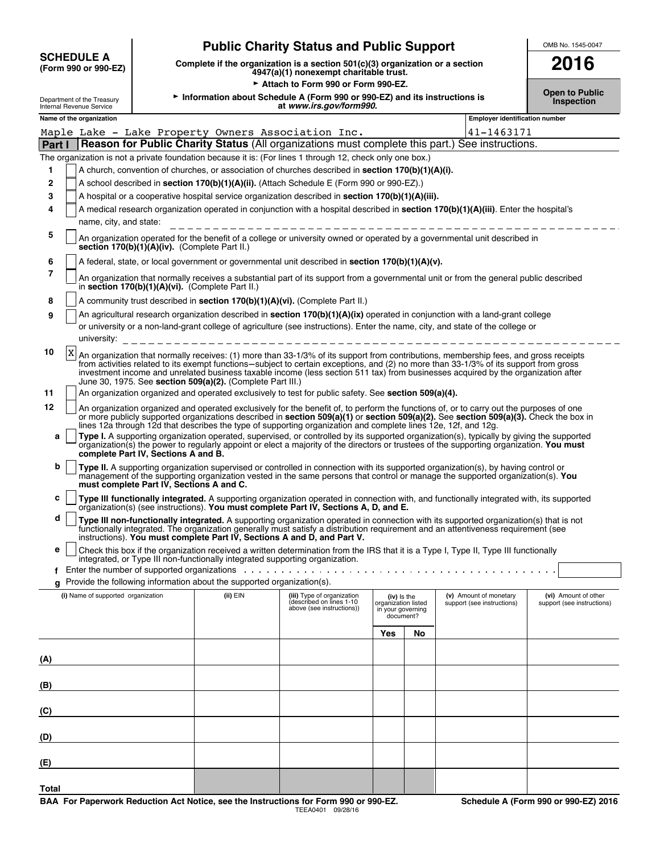|                                           | <b>Public Charity Status and Public Support</b>                                                                           | OMB No. 1545-00 |
|-------------------------------------------|---------------------------------------------------------------------------------------------------------------------------|-----------------|
| <b>SCHEDULE A</b><br>(Form 990 or 990-EZ) | Complete if the organization is a section $501(c)(3)$ organization or a section<br>4947(a)(1) nonexempt charitable trust. | 2016            |

# **Public Support** OMB No. 1545-0047

Attach to Form 990 or Form 990-EZ.

Open to Public **Information about Schedule A (Form 990 or 990-EZ) and its instructions is <b>Inspection**<br>Inspection at *www.irs.gov/form990.*<br>Department of the Treasury **Inspection** at *www.irs.gov/form990.* 

|  | <b>Open to Public</b> |
|--|-----------------------|
|  | المستقلد والمستردان   |

|              |                                                                                                                                                                            | Name of the organization                                                                                                                                                                                                                                                                                                                                                                                                                                                                                                    |          |                                                                                      |                                                                      |    | <b>Employer identification number</b>                |                                                    |  |
|--------------|----------------------------------------------------------------------------------------------------------------------------------------------------------------------------|-----------------------------------------------------------------------------------------------------------------------------------------------------------------------------------------------------------------------------------------------------------------------------------------------------------------------------------------------------------------------------------------------------------------------------------------------------------------------------------------------------------------------------|----------|--------------------------------------------------------------------------------------|----------------------------------------------------------------------|----|------------------------------------------------------|----------------------------------------------------|--|
|              | Maple Lake - Lake Property Owners Association Inc.<br>41-1463171                                                                                                           |                                                                                                                                                                                                                                                                                                                                                                                                                                                                                                                             |          |                                                                                      |                                                                      |    |                                                      |                                                    |  |
| Part I       |                                                                                                                                                                            | Reason for Public Charity Status (All organizations must complete this part.) See instructions.                                                                                                                                                                                                                                                                                                                                                                                                                             |          |                                                                                      |                                                                      |    |                                                      |                                                    |  |
|              |                                                                                                                                                                            | The organization is not a private foundation because it is: (For lines 1 through 12, check only one box.)                                                                                                                                                                                                                                                                                                                                                                                                                   |          |                                                                                      |                                                                      |    |                                                      |                                                    |  |
| 1            |                                                                                                                                                                            | A church, convention of churches, or association of churches described in section 170(b)(1)(A)(i).                                                                                                                                                                                                                                                                                                                                                                                                                          |          |                                                                                      |                                                                      |    |                                                      |                                                    |  |
| $\mathbf{2}$ |                                                                                                                                                                            | A school described in section 170(b)(1)(A)(ii). (Attach Schedule E (Form 990 or 990-EZ).)                                                                                                                                                                                                                                                                                                                                                                                                                                   |          |                                                                                      |                                                                      |    |                                                      |                                                    |  |
|              |                                                                                                                                                                            |                                                                                                                                                                                                                                                                                                                                                                                                                                                                                                                             |          |                                                                                      |                                                                      |    |                                                      |                                                    |  |
| 3            |                                                                                                                                                                            | A hospital or a cooperative hospital service organization described in section 170(b)(1)(A)(iii).                                                                                                                                                                                                                                                                                                                                                                                                                           |          |                                                                                      |                                                                      |    |                                                      |                                                    |  |
| 4            |                                                                                                                                                                            | A medical research organization operated in conjunction with a hospital described in section 170(b)(1)(A)(iii). Enter the hospital's<br>name, city, and state:                                                                                                                                                                                                                                                                                                                                                              |          |                                                                                      |                                                                      |    |                                                      |                                                    |  |
| 5            | An organization operated for the benefit of a college or university owned or operated by a governmental unit described in<br>section 170(b)(1)(A)(iv). (Complete Part II.) |                                                                                                                                                                                                                                                                                                                                                                                                                                                                                                                             |          |                                                                                      |                                                                      |    |                                                      |                                                    |  |
| 6            |                                                                                                                                                                            | A federal, state, or local government or governmental unit described in section 170(b)(1)(A)(v).                                                                                                                                                                                                                                                                                                                                                                                                                            |          |                                                                                      |                                                                      |    |                                                      |                                                    |  |
| 7            |                                                                                                                                                                            | An organization that normally receives a substantial part of its support from a governmental unit or from the general public described<br>in section 170(b)(1)(A)(vi). (Complete Part II.)                                                                                                                                                                                                                                                                                                                                  |          |                                                                                      |                                                                      |    |                                                      |                                                    |  |
| 8            |                                                                                                                                                                            | A community trust described in section 170(b)(1)(A)(vi). (Complete Part II.)                                                                                                                                                                                                                                                                                                                                                                                                                                                |          |                                                                                      |                                                                      |    |                                                      |                                                    |  |
| 9            |                                                                                                                                                                            | An agricultural research organization described in section 170(b)(1)(A)(ix) operated in conjunction with a land-grant college                                                                                                                                                                                                                                                                                                                                                                                               |          |                                                                                      |                                                                      |    |                                                      |                                                    |  |
|              |                                                                                                                                                                            | or university or a non-land-grant college of agriculture (see instructions). Enter the name, city, and state of the college or<br>university: $\frac{1}{2} - \frac{1}{2} - \frac{1}{2} - \frac{1}{2} - \frac{1}{2} - \frac{1}{2} - \frac{1}{2} - \frac{1}{2} - \frac{1}{2} - \frac{1}{2} - \frac{1}{2} - \frac{1}{2} - \frac{1}{2} - \frac{1}{2} - \frac{1}{2} - \frac{1}{2} - \frac{1}{2} - \frac{1}{2} - \frac{1}{2} - \frac{1}{2} - \frac{1}{2} - \frac{1}{2} - \frac{1}{2} - \frac{1}{2} - \frac{1}{2} - \frac{1}{2} -$ |          |                                                                                      |                                                                      |    |                                                      |                                                    |  |
| 10           | $\mathbf{x}$                                                                                                                                                               | An organization that normally receives: (1) more than 33-1/3% of its support from contributions, membership fees, and gross receipts<br>from activities related to its exempt functions-subject to certain exceptions, and (2) no more than 33-1/3% of its support from gross<br>investment income and unrelated business taxable income (less section 511 tax) from businesses acquired by the organization after<br>June 30, 1975. See section 509(a)(2). (Complete Part III.)                                            |          |                                                                                      |                                                                      |    |                                                      |                                                    |  |
| 11           |                                                                                                                                                                            | An organization organized and operated exclusively to test for public safety. See section 509(a)(4).                                                                                                                                                                                                                                                                                                                                                                                                                        |          |                                                                                      |                                                                      |    |                                                      |                                                    |  |
| 12           |                                                                                                                                                                            | An organization organized and operated exclusively for the benefit of, to perform the functions of, or to carry out the purposes of one<br>or more publicly supported organizations described in section $509(a)(1)$ or section $509(a)(2)$ . See section $509(a)(3)$ . Check the box in<br>lines 12a through 12d that describes the type of supporting organization and complete lines 12e, 12f, and 12g.                                                                                                                  |          |                                                                                      |                                                                      |    |                                                      |                                                    |  |
| a            |                                                                                                                                                                            | Type I. A supporting organization operated, supervised, or controlled by its supported organization(s), typically by giving the supported<br>organization(s) the power to regularly appoint or elect a majority of the directors or trustees of the supporting organization. You must                                                                                                                                                                                                                                       |          |                                                                                      |                                                                      |    |                                                      |                                                    |  |
|              |                                                                                                                                                                            | complete Part IV, Sections A and B.                                                                                                                                                                                                                                                                                                                                                                                                                                                                                         |          |                                                                                      |                                                                      |    |                                                      |                                                    |  |
| b            |                                                                                                                                                                            | Type II. A supporting organization supervised or controlled in connection with its supported organization(s), by having control or<br>management of the supporting organization vested in the same persons that control or manage the supported organization(s). You<br>must complete Part IV, Sections A and C.                                                                                                                                                                                                            |          |                                                                                      |                                                                      |    |                                                      |                                                    |  |
| с            |                                                                                                                                                                            | Type III functionally integrated. A supporting organization operated in connection with, and functionally integrated with, its supported<br>organization(s) (see instructions). You must complete Part IV, Sections A, D, and E.                                                                                                                                                                                                                                                                                            |          |                                                                                      |                                                                      |    |                                                      |                                                    |  |
| d            |                                                                                                                                                                            | Type III non-functionally integrated. A supporting organization operated in connection with its supported organization(s) that is not<br>functionally integrated. The organization generally must satisfy a distribution requirement and an attentiveness requirement (see<br>instructions). You must complete Part IV, Sections A and D, and Part V.                                                                                                                                                                       |          |                                                                                      |                                                                      |    |                                                      |                                                    |  |
| е            |                                                                                                                                                                            | Check this box if the organization received a written determination from the IRS that it is a Type I, Type II, Type III functionally<br>integrated, or Type III non-functionally integrated supporting organization.                                                                                                                                                                                                                                                                                                        |          |                                                                                      |                                                                      |    |                                                      |                                                    |  |
|              |                                                                                                                                                                            | Enter the number of supported organizations enterstanding to the state of the number of supported organizations enterstanding to the state of the number of supported organizations of the state of the number of the number o                                                                                                                                                                                                                                                                                              |          |                                                                                      |                                                                      |    |                                                      |                                                    |  |
|              |                                                                                                                                                                            | Provide the following information about the supported organization(s).                                                                                                                                                                                                                                                                                                                                                                                                                                                      |          |                                                                                      |                                                                      |    |                                                      |                                                    |  |
|              |                                                                                                                                                                            | (i) Name of supported organization                                                                                                                                                                                                                                                                                                                                                                                                                                                                                          | (ii) EIN | (iii) Type of organization<br>(described on lines 1-10)<br>above (see instructions)) | (iv) Is the<br>organization listed<br>in your governing<br>document? |    | (v) Amount of monetary<br>support (see instructions) | (vi) Amount of other<br>support (see instructions) |  |
|              |                                                                                                                                                                            |                                                                                                                                                                                                                                                                                                                                                                                                                                                                                                                             |          |                                                                                      | Yes                                                                  | No |                                                      |                                                    |  |
|              |                                                                                                                                                                            |                                                                                                                                                                                                                                                                                                                                                                                                                                                                                                                             |          |                                                                                      |                                                                      |    |                                                      |                                                    |  |
| (A)          |                                                                                                                                                                            |                                                                                                                                                                                                                                                                                                                                                                                                                                                                                                                             |          |                                                                                      |                                                                      |    |                                                      |                                                    |  |
|              |                                                                                                                                                                            |                                                                                                                                                                                                                                                                                                                                                                                                                                                                                                                             |          |                                                                                      |                                                                      |    |                                                      |                                                    |  |
| (B)          |                                                                                                                                                                            |                                                                                                                                                                                                                                                                                                                                                                                                                                                                                                                             |          |                                                                                      |                                                                      |    |                                                      |                                                    |  |
|              |                                                                                                                                                                            |                                                                                                                                                                                                                                                                                                                                                                                                                                                                                                                             |          |                                                                                      |                                                                      |    |                                                      |                                                    |  |
| (C)          |                                                                                                                                                                            |                                                                                                                                                                                                                                                                                                                                                                                                                                                                                                                             |          |                                                                                      |                                                                      |    |                                                      |                                                    |  |
| (D)          |                                                                                                                                                                            |                                                                                                                                                                                                                                                                                                                                                                                                                                                                                                                             |          |                                                                                      |                                                                      |    |                                                      |                                                    |  |
| (E)          |                                                                                                                                                                            |                                                                                                                                                                                                                                                                                                                                                                                                                                                                                                                             |          |                                                                                      |                                                                      |    |                                                      |                                                    |  |
| Total        |                                                                                                                                                                            |                                                                                                                                                                                                                                                                                                                                                                                                                                                                                                                             |          |                                                                                      |                                                                      |    |                                                      |                                                    |  |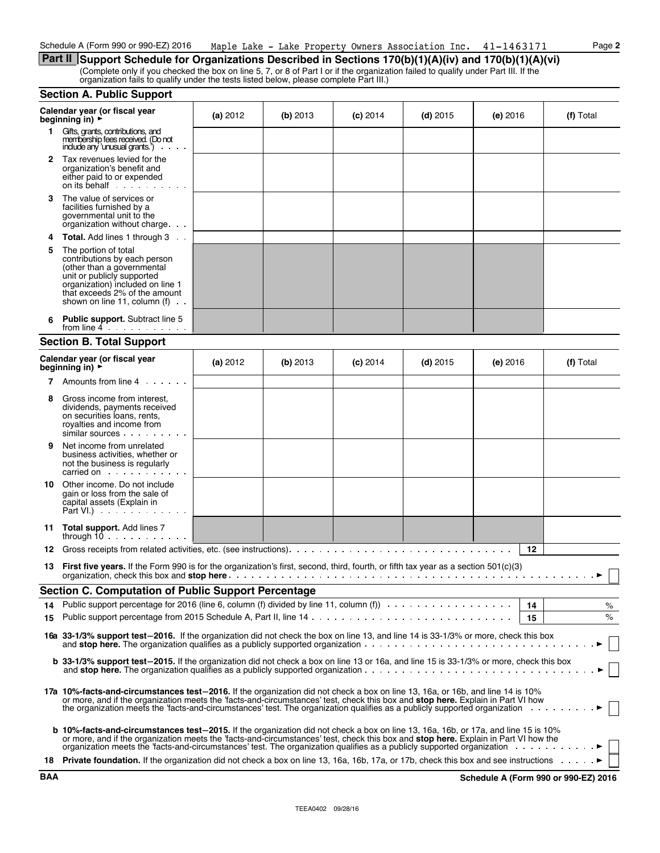**Part II** Support Schedule for Organizations Described in Sections 170(b)(1)(A)(iv) and 170(b)(1)(A)(vi) (Complete only if you checked the box on line 5, 7, or 8 of Part I or if the organization failed to qualify under Part III. If the organization fails to qualify under the tests listed below, please complete Part III.)

#### **Section A. Public Support**

|                      | Calendar year (or fiscal year<br>beginning in) ▶                                                                                                                                                                                                                                                                                                                                                | (a) 2012 | (b) $2013$ | $(c)$ 2014 | $(d)$ 2015 | (e) 2016   | (f) Total |
|----------------------|-------------------------------------------------------------------------------------------------------------------------------------------------------------------------------------------------------------------------------------------------------------------------------------------------------------------------------------------------------------------------------------------------|----------|------------|------------|------------|------------|-----------|
| 1.                   | Gifts, grants, contributions, and<br>membership fees received. (Do not<br>include any 'unusual grants.')                                                                                                                                                                                                                                                                                        |          |            |            |            |            |           |
| $\mathbf{2}^{\circ}$ | Tax revenues levied for the<br>organization's benefit and<br>either paid to or expended<br>on its behalf                                                                                                                                                                                                                                                                                        |          |            |            |            |            |           |
| З.                   | The value of services or<br>facilities furnished by a<br>governmental unit to the<br>organization without charge                                                                                                                                                                                                                                                                                |          |            |            |            |            |           |
|                      | <b>Total.</b> Add lines 1 through 3                                                                                                                                                                                                                                                                                                                                                             |          |            |            |            |            |           |
| 5                    | The portion of total<br>contributions by each person<br>(other than a governmental<br>unit or publicly supported<br>organization) included on line 1<br>that exceeds 2% of the amount<br>shown on line 11, column $(f)$ .                                                                                                                                                                       |          |            |            |            |            |           |
|                      | <b>Public support.</b> Subtract line 5<br>from line $4 \cdot \cdot \cdot \cdot \cdot \cdot \cdot$                                                                                                                                                                                                                                                                                               |          |            |            |            |            |           |
|                      | <b>Section B. Total Support</b>                                                                                                                                                                                                                                                                                                                                                                 |          |            |            |            |            |           |
|                      | Calendar year (or fiscal year<br>beginning in) ►                                                                                                                                                                                                                                                                                                                                                | (a) 2012 | (b) 2013   | $(c)$ 2014 | $(d)$ 2015 | $(e)$ 2016 | (f) Total |
|                      | <b>7</b> Amounts from line 4                                                                                                                                                                                                                                                                                                                                                                    |          |            |            |            |            |           |
| 8                    | Gross income from interest,<br>dividends, payments received<br>on securities loans, rents,<br>royalties and income from<br>similar sources                                                                                                                                                                                                                                                      |          |            |            |            |            |           |
| 9                    | Net income from unrelated<br>business activities, whether or<br>not the business is regularly<br>carried on example and the set of the set of the set of the set of the set of the set of the set of the set of the set of the set of the set of the set of the set of the set of the set of the set of the set of the set of t                                                                 |          |            |            |            |            |           |
| 10                   | Other income. Do not include<br>gain or loss from the sale of<br>capital assets (Explain in<br>Part VI.) $\cdots$ $\cdots$ $\cdots$                                                                                                                                                                                                                                                             |          |            |            |            |            |           |
|                      | 11 Total support. Add lines 7<br>through $10 \ldots \ldots \ldots$                                                                                                                                                                                                                                                                                                                              |          |            |            |            |            |           |
| 12                   |                                                                                                                                                                                                                                                                                                                                                                                                 |          |            |            |            |            | 12        |
| 13                   | <b>First five years.</b> If the Form 990 is for the organization's first, second, third, fourth, or fifth tax year as a section 501(c)(3)                                                                                                                                                                                                                                                       |          |            |            |            |            |           |
|                      | <b>Section C. Computation of Public Support Percentage</b>                                                                                                                                                                                                                                                                                                                                      |          |            |            |            |            |           |
|                      | 14 Public support percentage for 2016 (line 6, column (f) divided by line 11, column (f)                                                                                                                                                                                                                                                                                                        |          |            |            |            |            | 14<br>%   |
|                      |                                                                                                                                                                                                                                                                                                                                                                                                 |          |            |            |            |            | %<br>15   |
|                      | 16a 33-1/3% support test-2016. If the organization did not check the box on line 13, and line 14 is 33-1/3% or more, check this box                                                                                                                                                                                                                                                             |          |            |            |            |            |           |
|                      | b 33-1/3% support test-2015. If the organization did not check a box on line 13 or 16a, and line 15 is 33-1/3% or more, check this box                                                                                                                                                                                                                                                          |          |            |            |            |            |           |
|                      | 17a 10%-facts-and-circumstances test-2016. If the organization did not check a box on line 13, 16a, or 16b, and line 14 is 10%<br>or more, and if the organization meets the 'facts-and-circumstances' test, check this box and stop here. Explain in Part VI how<br>the organization meets the 'facts-and-circumstances' test. The organization qualifies as a publicly supported organization |          |            |            |            |            |           |
|                      | <b>b 10%-facts-and-circumstances test-2015.</b> If the organization did not check a box on line 13, 16a, 16b, or 17a, and line 15 is 10%<br>or more, and if the organization meets the 'facts-and-circumstances' test, check this box and stop here. Explain in Part VI how the                                                                                                                 |          |            |            |            |            |           |
|                      | 18 Private foundation. If the organization did not check a box on line 13, 16a, 16b, 17a, or 17b, check this box and see instructions •                                                                                                                                                                                                                                                         |          |            |            |            |            |           |

**BAA Schedule A (Form 990 or 990-EZ) 2016**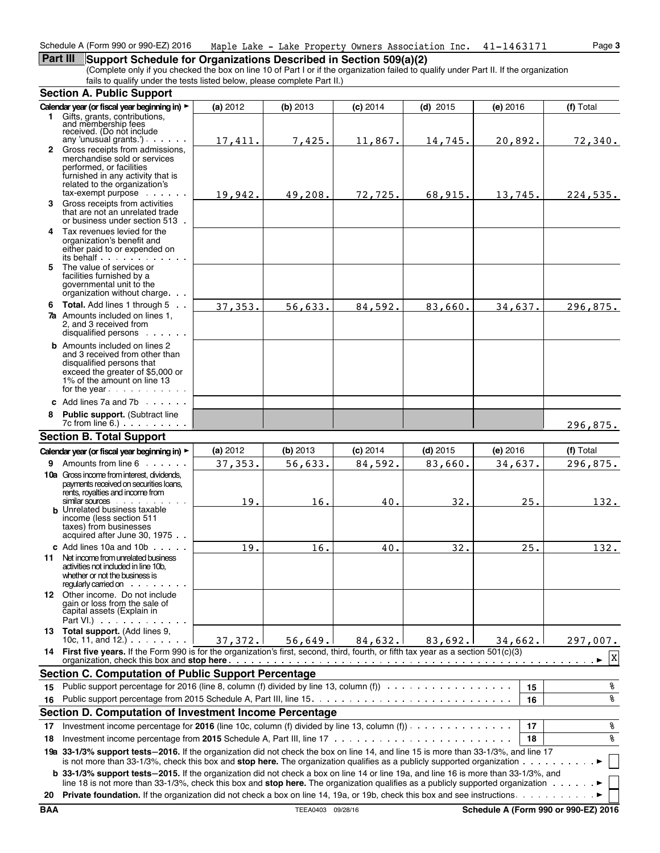# **Part III** Support Schedule for Organizations Described in Section 509(a)(2)

(Complete only if you checked the box on line 10 of Part I or if the organization failed to qualify under Part II. If the organization fails to qualify under the tests listed below, please complete Part II.)

|    | <b>Section A. Public Support</b>                                                                                                                                                                                                                                                       |          |          |            |            |          |             |
|----|----------------------------------------------------------------------------------------------------------------------------------------------------------------------------------------------------------------------------------------------------------------------------------------|----------|----------|------------|------------|----------|-------------|
|    | Calendar year (or fiscal year beginning in) >                                                                                                                                                                                                                                          | (a) 2012 | (b) 2013 | $(c)$ 2014 | $(d)$ 2015 | (e) 2016 | (f) Total   |
|    | 1 Gifts, grants, contributions,<br>and membership fees                                                                                                                                                                                                                                 |          |          |            |            |          |             |
|    | received. (Do not include                                                                                                                                                                                                                                                              |          |          |            |            |          |             |
|    | any 'unusual grants'). $\cdots$                                                                                                                                                                                                                                                        | 17,411.  | 7,425.   | 11,867.    | 14,745.    | 20,892.  | 72,340.     |
|    | 2 Gross receipts from admissions,<br>merchandise sold or services                                                                                                                                                                                                                      |          |          |            |            |          |             |
|    | performed, or facilities                                                                                                                                                                                                                                                               |          |          |            |            |          |             |
|    | furnished in any activity that is<br>related to the organization's                                                                                                                                                                                                                     |          |          |            |            |          |             |
|    | tax-exempt purpose                                                                                                                                                                                                                                                                     | 19,942.  | 49,208.  | 72,725.    | 68,915.    | 13,745.  | 224,535.    |
|    | 3 Gross receipts from activities                                                                                                                                                                                                                                                       |          |          |            |            |          |             |
|    | that are not an unrelated trade<br>or business under section 513.                                                                                                                                                                                                                      |          |          |            |            |          |             |
|    | 4 Tax revenues levied for the                                                                                                                                                                                                                                                          |          |          |            |            |          |             |
|    | organization's benefit and                                                                                                                                                                                                                                                             |          |          |            |            |          |             |
|    | either paid to or expended on<br>its behalf                                                                                                                                                                                                                                            |          |          |            |            |          |             |
|    | 5 The value of services or                                                                                                                                                                                                                                                             |          |          |            |            |          |             |
|    | facilities furnished by a                                                                                                                                                                                                                                                              |          |          |            |            |          |             |
|    | governmental unit to the<br>organization without charge.                                                                                                                                                                                                                               |          |          |            |            |          |             |
|    | 6 Total. Add lines 1 through 5                                                                                                                                                                                                                                                         | 37, 353. | 56,633.  | 84,592.    | 83,660.    | 34,637.  | 296,875.    |
|    | <b>7a</b> Amounts included on lines 1,                                                                                                                                                                                                                                                 |          |          |            |            |          |             |
|    | 2. and 3 received from                                                                                                                                                                                                                                                                 |          |          |            |            |          |             |
|    | disqualified persons                                                                                                                                                                                                                                                                   |          |          |            |            |          |             |
|    | <b>b</b> Amounts included on lines 2<br>and 3 received from other than                                                                                                                                                                                                                 |          |          |            |            |          |             |
|    | disqualified persons that                                                                                                                                                                                                                                                              |          |          |            |            |          |             |
|    | exceed the greater of \$5,000 or<br>1% of the amount on line 13                                                                                                                                                                                                                        |          |          |            |            |          |             |
|    | for the year $\cdots$                                                                                                                                                                                                                                                                  |          |          |            |            |          |             |
|    | c Add lines 7a and 7b $\cdots$                                                                                                                                                                                                                                                         |          |          |            |            |          |             |
|    | 8 Public support. (Subtract line                                                                                                                                                                                                                                                       |          |          |            |            |          |             |
|    |                                                                                                                                                                                                                                                                                        |          |          |            |            |          | 296,875.    |
|    | <b>Section B. Total Support</b>                                                                                                                                                                                                                                                        |          |          |            |            |          |             |
|    | Calendar year (or fiscal year beginning in) >                                                                                                                                                                                                                                          | (a) 2012 | (b) 2013 | $(c)$ 2014 | $(d)$ 2015 | (e) 2016 | (f) Total   |
|    | 9 Amounts from line 6                                                                                                                                                                                                                                                                  | 37,353.  | 56,633.  | 84,592.    | 83,660.    | 34,637.  | 296,875.    |
|    | <b>10a</b> Gross income from interest, dividends,                                                                                                                                                                                                                                      |          |          |            |            |          |             |
|    | payments received on securities loans,<br>rents, royalties and income from                                                                                                                                                                                                             |          |          |            |            |          |             |
|    | similar sources                                                                                                                                                                                                                                                                        | 19.      | 16.      | 40.        | 32.        | 25.      | 132.        |
|    | <b>b</b> Unrelated business taxable<br>income (less section 511                                                                                                                                                                                                                        |          |          |            |            |          |             |
|    | taxes) from businesses                                                                                                                                                                                                                                                                 |          |          |            |            |          |             |
|    | acquired after June 30, 1975                                                                                                                                                                                                                                                           |          |          |            |            |          |             |
|    | c Add lines $10a$ and $10b$ $\cdots$                                                                                                                                                                                                                                                   | 19.      | 16.      | 40.        | 32.        | 25.      | 132.        |
|    | 11 Net income from unrelated business<br>activities not included in line 10b,                                                                                                                                                                                                          |          |          |            |            |          |             |
|    | whether or not the business is                                                                                                                                                                                                                                                         |          |          |            |            |          |             |
|    | requiarly carried on the contract of the contract of the contract of the contract of the contract of the contract of the contract of the contract of the contract of the contract of the contract of the contract of the contr                                                         |          |          |            |            |          |             |
|    | 12 Other income. Do not include<br>gain or loss from the sale of                                                                                                                                                                                                                       |          |          |            |            |          |             |
|    | capital assets (Explain in                                                                                                                                                                                                                                                             |          |          |            |            |          |             |
|    | Part VI.) $\cdots$ $\cdots$ $\cdots$                                                                                                                                                                                                                                                   |          |          |            |            |          |             |
|    | 13 Total support. (Add lines 9,<br>10c, 11, and 12.) $\cdots$                                                                                                                                                                                                                          | 37, 372. | 56,649.  | 84,632.    | 83,692.    | 34,662.1 | 297,007.    |
|    | 14 First five years. If the Form 990 is for the organization's first, second, third, fourth, or fifth tax year as a section 501(c)(3)                                                                                                                                                  |          |          |            |            |          |             |
|    |                                                                                                                                                                                                                                                                                        |          |          |            |            |          | $\mathbf X$ |
|    | <b>Section C. Computation of Public Support Percentage</b>                                                                                                                                                                                                                             |          |          |            |            |          |             |
| 15 | Public support percentage for 2016 (line 8, column (f) divided by line 13, column (f)                                                                                                                                                                                                  |          |          |            |            | 15       | နွ          |
| 16 |                                                                                                                                                                                                                                                                                        |          |          |            |            | 16       | နွ          |
|    | Section D. Computation of Investment Income Percentage                                                                                                                                                                                                                                 |          |          |            |            |          |             |
| 17 | Investment income percentage for 2016 (line 10c, column (f) divided by line 13, column (f))                                                                                                                                                                                            |          |          |            |            | 17       | နွ          |
| 18 |                                                                                                                                                                                                                                                                                        |          |          |            |            | 18       | နွ          |
|    | 19a 33-1/3% support tests-2016. If the organization did not check the box on line 14, and line 15 is more than 33-1/3%, and line 17<br>is not more than 33-1/3%, check this box and stop here. The organization qualifies as a publicly supported organization                         |          |          |            |            |          |             |
|    | b 33-1/3% support tests-2015. If the organization did not check a box on line 14 or line 19a, and line 16 is more than 33-1/3%, and<br>line 18 is not more than 33-1/3%, check this box and stop here. The organization qualifies as a publicly supported organization $\cdots \cdots$ |          |          |            |            |          |             |
| 20 |                                                                                                                                                                                                                                                                                        |          |          |            |            |          |             |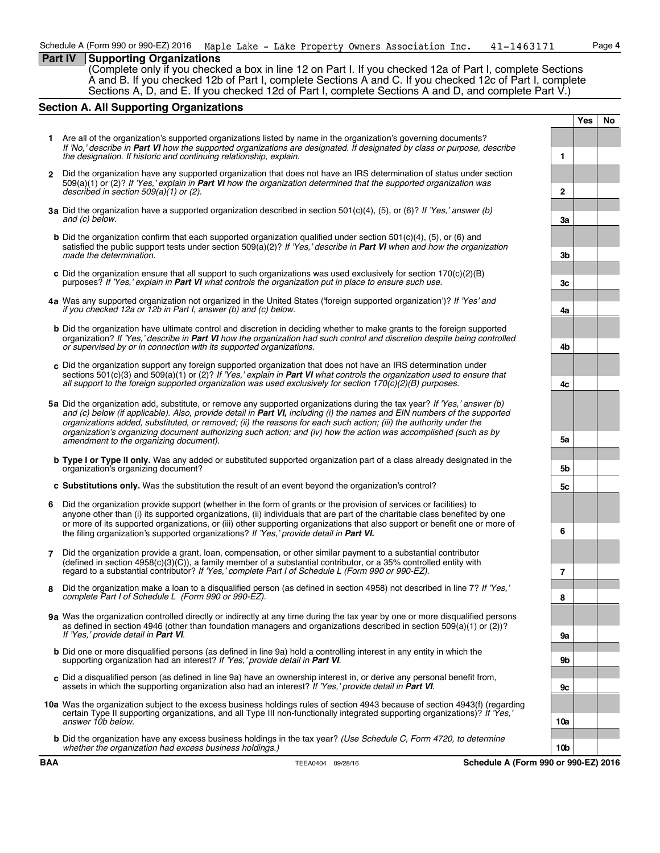#### **Part IV Supporting Organizations**

(Complete only if you checked a box in line 12 on Part I. If you checked 12a of Part I, complete Sections A and B. If you checked 12b of Part I, complete Sections A and C. If you checked 12c of Part I, complete Sections A, D, and E. If you checked 12d of Part I, complete Sections A and D, and complete Part V.)

#### **Section A. All Supporting Organizations**

**1** Are all of the organization's supported organizations listed by name in the organization's governing documents? *If 'No,' describe in Part VI how the supported organizations are designated. If designated by class or purpose, describe the designation. If historic and continuing relationship, explain.* **1 2** Did the organization have any supported organization that does not have an IRS determination of status under section 509(a)(1) or (2)? *If 'Yes,' explain in Part VI how the organization determined that the supported organization was described in section 509(a)(1) or (2).* **2 3a** Did the organization have a supported organization described in section 501(c)(4), (5), or (6)? *If 'Yes,' answer (b) and (c) below.* **3a b** Did the organization confirm that each supported organization qualified under section 501(c)(4), (5), or (6) and satisfied the public support tests under section 509(a)(2)? *If 'Yes,' describe in Part VI when and how the organization made the determination.* **3b c** Did the organization ensure that all support to such organizations was used exclusively for section 170(c)(2)(B) purposes? *If 'Yes,' explain in Part VI* what controls the organization put in place to ensure such use. **4a** Was any supported organization not organized in the United States ('foreign supported organization')? *If 'Yes' and if you checked 12a or 12b in Part I, answer (b) and (c) below.* **4a b** Did the organization have ultimate control and discretion in deciding whether to make grants to the foreign supported organization? *If 'Yes,' describe in Part VI how the organization had such control and discretion despite being controlled or supervised by or in connection with its supported organizations.* **4b c** Did the organization support any foreign supported organization that does not have an IRS determination under sections 501(c)(3) and 509(a)(1) or (2)? *If 'Yes,' explain in Part VI what controls the organization used to ensure that all support to the foreign supported organization was used exclusively for section 170(c)(2)(B) purposes.* **4c 5a** Did the organization add, substitute, or remove any supported organizations during the tax year? *If 'Yes,' answer (b) and (c) below (if applicable). Also, provide detail in Part VI, including (i) the names and EIN numbers of the supported organizations added, substituted, or removed; (ii) the reasons for each such action; (iii) the authority under the organization's organizing document authorizing such action; and (iv) how the action was accomplished (such as by amendment to the organizing document).* **5a b Type I or Type II only.** Was any added or substituted supported organization part of a class already designated in the organization's organizing document? **5b c Substitutions only.** Was the substitution the result of an event beyond the organization's control? **5c 6** Did the organization provide support (whether in the form of grants or the provision of services or facilities) to anyone other than (i) its supported organizations, (ii) individuals that are part of the charitable class benefited by one or more of its supported organizations, or (iii) other supporting organizations that also support or benefit one or more of the filing organization's supported organizations? *If 'Yes,' provide detail in Part VI.* **6 7** Did the organization provide a grant, loan, compensation, or other similar payment to a substantial contributor  $($ defined in section 4958 $(c)(3)(\tilde{C}))$ , a family member of a substantial contributor, or a 35% controlled entity with regard to a substantial contributor? *If 'Yes,' complete Part I of Schedule L (Form 990 or 990-EZ).* **7 8** Did the organization make a loan to a disqualified person (as defined in section 4958) not described in line 7? *If 'Yes,' complete Part I of Schedule L (Form 990 or 990-EZ).* **8 9a** Was the organization controlled directly or indirectly at any time during the tax year by one or more disqualified persons as defined in section 4946 (other than foundation managers and organizations described in section 509(a)(1) or (2))? *If 'Yes,' provide detail in Part VI*. **9a b** Did one or more disqualified persons (as defined in line 9a) hold a controlling interest in any entity in which the supporting organization had an interest? *If 'Yes,' provide detail in Part VI*. **9b c** Did a disqualified person (as defined in line 9a) have an ownership interest in, or derive any personal benefit from, assets in which the supporting organization also had an interest? *If 'Yes,' provide detail in Part VI*. **9c 10a** Was the organization subject to the excess business holdings rules of section 4943 because of section 4943(f) (regarding certain Type II supporting organizations, and all Type III non-functionally integrated supporting organizations)? *If 'Yes,' answer 10b below.* **10a b** Did the organization have any excess business holdings in the tax year? *(Use Schedule C, Form 4720, to determine whether the organization had excess business holdings.)* **10b**

**BAA TEEA0404** 09/28/16 **Schedule A (Form 990 or 990-EZ) 2016** 

**Yes No**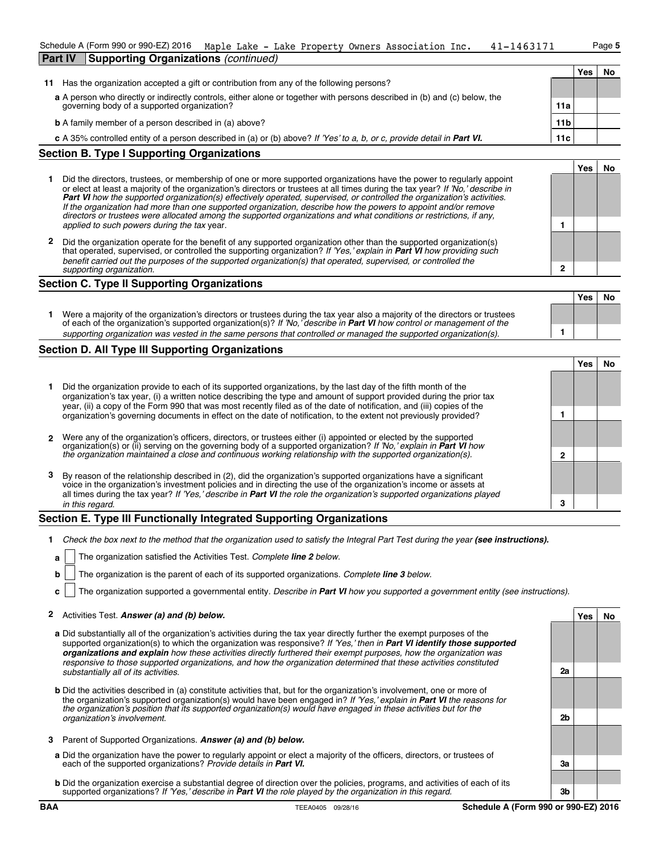| Schedule A (Form 990 or 990-EZ) 2016 Maple Lake - Lake Property Owners Association Inc. |  |  | 41-1463171 | Paqe 5 |
|-----------------------------------------------------------------------------------------|--|--|------------|--------|
| <b>Part IV Supporting Organizations (continued)</b>                                     |  |  |            |        |

|    |                                                                                                                           |                 | Yes | <b>No</b> |
|----|---------------------------------------------------------------------------------------------------------------------------|-----------------|-----|-----------|
| 11 | Has the organization accepted a gift or contribution from any of the following persons?                                   |                 |     |           |
|    | a A person who directly or indirectly controls, either alone or together with persons described in (b) and (c) below, the |                 |     |           |
|    | governing body of a supported organization?                                                                               | 11a             |     |           |
|    | <b>b</b> A family member of a person described in (a) above?                                                              | 11 <sub>b</sub> |     |           |
|    |                                                                                                                           |                 |     |           |
|    | c A 35% controlled entity of a person described in (a) or (b) above? If 'Yes' to a, b, or c, provide detail in Part VI.   | 11c             |     |           |

## **Section B. Type I Supporting Organizations**

- **1** Did the directors, trustees, or membership of one or more supported organizations have the power to regularly appoint or elect at least a majority of the organization's directors or trustees at all times during the tax year? *If 'No,' describe in Part VI how the supported organization(s) effectively operated, supervised, or controlled the organization's activities. If the organization had more than one supported organization, describe how the powers to appoint and/or remove directors or trustees were allocated among the supported organizations and what conditions or restrictions, if any, applied to such powers during the tax* year. **1**
- **2** Did the organization operate for the benefit of any supported organization other than the supported organization(s) that operated, supervised, or controlled the supporting organization? *If 'Yes,' explain in Part VI how providing such benefit carried out the purposes of the supported organization(s) that operated, supervised, or controlled the supporting organization.* **2**

#### **Section C. Type II Supporting Organizations**

|                                                                                                                                                                                                                                                               | Yes | No |
|---------------------------------------------------------------------------------------------------------------------------------------------------------------------------------------------------------------------------------------------------------------|-----|----|
| Were a majority of the organization's directors or trustees during the tax year also a majority of the directors or trustees<br>of each of the organization's supported organization(s)? If 'No,' describe in <b>Part VI</b> how control or management of the |     |    |
| supporting organization was vested in the same persons that controlled or managed the supported organization(s).                                                                                                                                              |     |    |

## **Section D. All Type III Supporting Organizations**

|    |                                                                                                                                                                                                                                                                                                                                                                    |  | Yes |  |  |  |
|----|--------------------------------------------------------------------------------------------------------------------------------------------------------------------------------------------------------------------------------------------------------------------------------------------------------------------------------------------------------------------|--|-----|--|--|--|
|    | Did the organization provide to each of its supported organizations, by the last day of the fifth month of the<br>organization's tax year, (i) a written notice describing the type and amount of support provided during the prior tax<br>year, (ii) a copy of the Form 990 that was most recently filed as of the date of notification, and (iii) copies of the  |  |     |  |  |  |
|    | organization's governing documents in effect on the date of notification, to the extent not previously provided?                                                                                                                                                                                                                                                   |  |     |  |  |  |
|    | 2 Were any of the organization's officers, directors, or trustees either (i) appointed or elected by the supported<br>organization(s) or (ii) serving on the governing body of a supported organization? If 'No,' explain in Part VI how                                                                                                                           |  |     |  |  |  |
|    | the organization maintained a close and continuous working relationship with the supported organization(s).                                                                                                                                                                                                                                                        |  |     |  |  |  |
| 3. | By reason of the relationship described in (2), did the organization's supported organizations have a significant<br>voice in the organization's investment policies and in directing the use of the organization's income or assets at<br>all times during the tax year? If 'Yes,' describe in Part VI the role the organization's supported organizations played |  |     |  |  |  |
|    | in this regard.                                                                                                                                                                                                                                                                                                                                                    |  |     |  |  |  |

#### **Section E. Type III Functionally Integrated Supporting Organizations**

- **1** Check the box next to the method that the organization used to satisfy the Integral Part Test during the year (see instructions).
	- **a** The organization satisfied the Activities Test. *Complete line 2 below.*
	- **b** The organization is the parent of each of its supported organizations. *Complete line 3 below.*
	- **c** The organization supported a governmental entity. *Describe in Part VI how you supported a government entity (see instructions).*

#### **2** Activities Test. *Answer (a) and (b) below.* **Yes No**

- **a** Did substantially all of the organization's activities during the tax year directly further the exempt purposes of the supported organization(s) to which the organization was responsive? *If 'Yes,' then in Part VI identify those supported organizations and explain how these activities directly furthered their exempt purposes, how the organization was responsive to those supported organizations, and how the organization determined that these activities constituted substantially all of its activities.* **2a**
- **b** Did the activities described in (a) constitute activities that, but for the organization's involvement, one or more of the organization's supported organization(s) would have been engaged in? *If 'Yes,' explain in Part VI the reasons for the organization's position that its supported organization(s) would have engaged in these activities but for the organization's involvement.* **2b**
- **3** Parent of Supported Organizations. *Answer (a) and (b) below.*
- **a** Did the organization have the power to regularly appoint or elect a majority of the officers, directors, or trustees of each of the supported organizations? *Provide details in Part VI.* **3a**
- **b** Did the organization exercise a substantial degree of direction over the policies, programs, and activities of each of its supported organizations? *If 'Yes,' describe in Part VI the role played by the organization in this regard.* **3b**

**Yes No**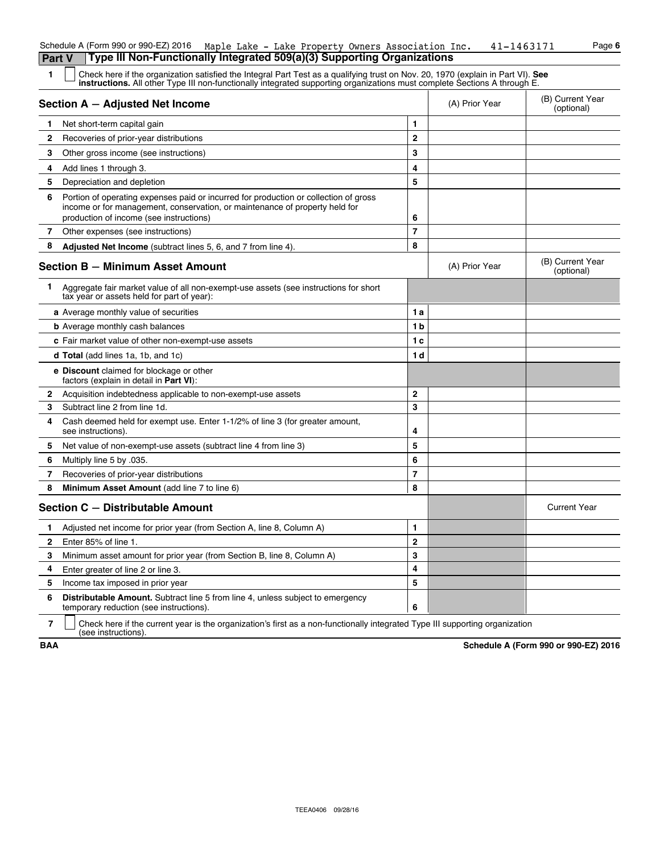|                | Type III Non-Functionally Integrated 509(a)(3) Supporting Organizations<br>Part V                                                                                                                                                                             |              |                |                                |
|----------------|---------------------------------------------------------------------------------------------------------------------------------------------------------------------------------------------------------------------------------------------------------------|--------------|----------------|--------------------------------|
| 1.             | Check here if the organization satisfied the Integral Part Test as a qualifying trust on Nov. 20, 1970 (explain in Part VI). See<br>instructions. All other Type III non-functionally integrated supporting organizations must complete Sections A through E. |              |                |                                |
|                | Section A - Adjusted Net Income                                                                                                                                                                                                                               |              | (A) Prior Year | (B) Current Year<br>(optional) |
| 1              | Net short-term capital gain                                                                                                                                                                                                                                   | 1            |                |                                |
| $\mathbf{2}$   | Recoveries of prior-year distributions                                                                                                                                                                                                                        | $\mathbf{2}$ |                |                                |
| 3              | Other gross income (see instructions)                                                                                                                                                                                                                         | 3            |                |                                |
| 4              | Add lines 1 through 3.                                                                                                                                                                                                                                        | 4            |                |                                |
| 5              | Depreciation and depletion                                                                                                                                                                                                                                    | 5            |                |                                |
| 6              | Portion of operating expenses paid or incurred for production or collection of gross<br>income or for management, conservation, or maintenance of property held for<br>production of income (see instructions)                                                | 6            |                |                                |
| $\mathbf{7}$   | Other expenses (see instructions)                                                                                                                                                                                                                             | 7            |                |                                |
| 8              | Adjusted Net Income (subtract lines 5, 6, and 7 from line 4).                                                                                                                                                                                                 | 8            |                |                                |
|                | <b>Section B - Minimum Asset Amount</b>                                                                                                                                                                                                                       |              | (A) Prior Year | (B) Current Year<br>(optional) |
| 1              | Aggregate fair market value of all non-exempt-use assets (see instructions for short<br>tax year or assets held for part of year):                                                                                                                            |              |                |                                |
|                | a Average monthly value of securities                                                                                                                                                                                                                         | 1a           |                |                                |
|                | <b>b</b> Average monthly cash balances                                                                                                                                                                                                                        | 1b           |                |                                |
|                | c Fair market value of other non-exempt-use assets                                                                                                                                                                                                            | 1 c          |                |                                |
|                | <b>d Total</b> (add lines 1a, 1b, and 1c)                                                                                                                                                                                                                     | 1 d          |                |                                |
|                | <b>e</b> Discount claimed for blockage or other<br>factors (explain in detail in <b>Part VI</b> ):                                                                                                                                                            |              |                |                                |
| $\mathbf{2}$   | Acquisition indebtedness applicable to non-exempt-use assets                                                                                                                                                                                                  | $\mathbf{2}$ |                |                                |
| 3              | Subtract line 2 from line 1d.                                                                                                                                                                                                                                 | 3            |                |                                |
| 4              | Cash deemed held for exempt use. Enter 1-1/2% of line 3 (for greater amount,<br>see instructions).                                                                                                                                                            | 4            |                |                                |
| 5              | Net value of non-exempt-use assets (subtract line 4 from line 3)                                                                                                                                                                                              | 5            |                |                                |
| 6              | Multiply line 5 by 035.                                                                                                                                                                                                                                       | 6            |                |                                |
| 7              | Recoveries of prior-year distributions                                                                                                                                                                                                                        | 7            |                |                                |
| 8              | Minimum Asset Amount (add line 7 to line 6)                                                                                                                                                                                                                   | 8            |                |                                |
|                | Section C - Distributable Amount                                                                                                                                                                                                                              |              |                | <b>Current Year</b>            |
| 1              | Adjusted net income for prior year (from Section A, line 8, Column A)                                                                                                                                                                                         | 1            |                |                                |
| 2              | Enter 85% of line 1.                                                                                                                                                                                                                                          | 2            |                |                                |
| 3              | Minimum asset amount for prior year (from Section B, line 8, Column A)                                                                                                                                                                                        | 3            |                |                                |
| 4              | Enter greater of line 2 or line 3.                                                                                                                                                                                                                            | 4            |                |                                |
| 5              | Income tax imposed in prior year                                                                                                                                                                                                                              | 5            |                |                                |
| 6              | Distributable Amount. Subtract line 5 from line 4, unless subject to emergency<br>temporary reduction (see instructions).                                                                                                                                     | 6            |                |                                |
| $\overline{7}$ | Check here if the current year is the organization's first as a non-functionally integrated Type III supporting organization                                                                                                                                  |              |                |                                |

Schedule A (Form 990 or 990-EZ) 2016 Maple Lake - Lake Property Owners Association Inc.  $41-1463171$  Page 6

(see instructions).

**BAA Schedule A (Form 990 or 990-EZ) 2016**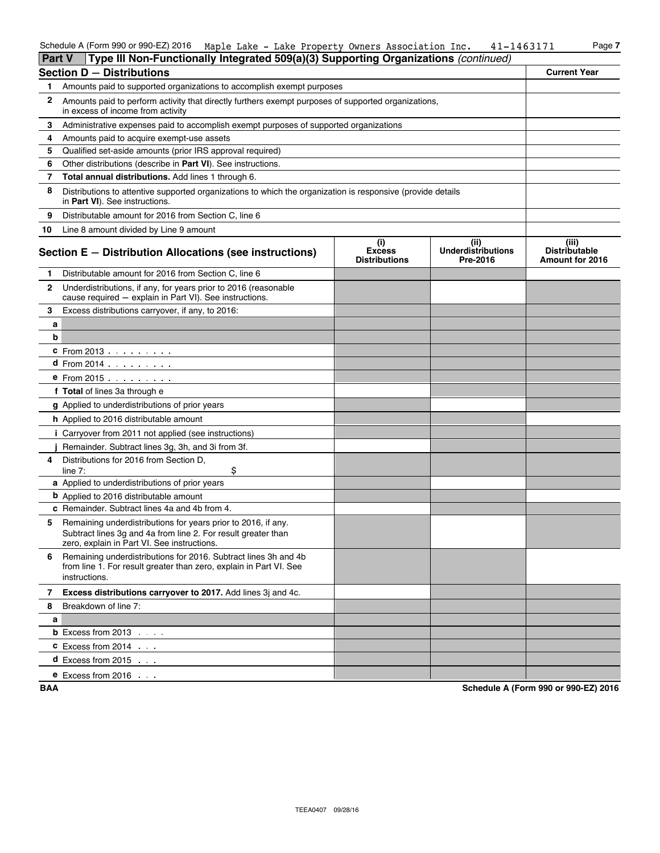| <b>Part V</b> | Type III Non-Functionally Integrated 509(a)(3) Supporting Organizations (continued)                                                                                           |                                              |                                               |                                                         |
|---------------|-------------------------------------------------------------------------------------------------------------------------------------------------------------------------------|----------------------------------------------|-----------------------------------------------|---------------------------------------------------------|
|               | <b>Section D - Distributions</b>                                                                                                                                              |                                              |                                               | <b>Current Year</b>                                     |
| 1.            | Amounts paid to supported organizations to accomplish exempt purposes                                                                                                         |                                              |                                               |                                                         |
| 2             | Amounts paid to perform activity that directly furthers exempt purposes of supported organizations,<br>in excess of income from activity                                      |                                              |                                               |                                                         |
| 3             | Administrative expenses paid to accomplish exempt purposes of supported organizations                                                                                         |                                              |                                               |                                                         |
| 4             | Amounts paid to acquire exempt-use assets                                                                                                                                     |                                              |                                               |                                                         |
| 5             | Qualified set-aside amounts (prior IRS approval required)                                                                                                                     |                                              |                                               |                                                         |
| 6             | Other distributions (describe in Part VI). See instructions.                                                                                                                  |                                              |                                               |                                                         |
| 7             | Total annual distributions. Add lines 1 through 6.                                                                                                                            |                                              |                                               |                                                         |
| 8             | Distributions to attentive supported organizations to which the organization is responsive (provide details<br>in Part VI). See instructions.                                 |                                              |                                               |                                                         |
| 9             | Distributable amount for 2016 from Section C, line 6                                                                                                                          |                                              |                                               |                                                         |
| 10            | Line 8 amount divided by Line 9 amount                                                                                                                                        |                                              |                                               |                                                         |
|               | Section E - Distribution Allocations (see instructions)                                                                                                                       | (i)<br><b>Excess</b><br><b>Distributions</b> | (ii)<br><b>Underdistributions</b><br>Pre-2016 | (iii)<br><b>Distributable</b><br><b>Amount for 2016</b> |
| 1.            | Distributable amount for 2016 from Section C, line 6                                                                                                                          |                                              |                                               |                                                         |
| 2             | Underdistributions, if any, for years prior to 2016 (reasonable<br>cause required - explain in Part VI). See instructions.                                                    |                                              |                                               |                                                         |
| 3             | Excess distributions carryover, if any, to 2016:                                                                                                                              |                                              |                                               |                                                         |
| а             |                                                                                                                                                                               |                                              |                                               |                                                         |
| b             |                                                                                                                                                                               |                                              |                                               |                                                         |
|               | <b>c</b> From 2013 $\ldots$ $\ldots$ .                                                                                                                                        |                                              |                                               |                                                         |
|               | <b>d</b> From $2014$ $\ldots$ $\ldots$ $\ldots$                                                                                                                               |                                              |                                               |                                                         |
|               | <b>e</b> From 2015                                                                                                                                                            |                                              |                                               |                                                         |
|               | f Total of lines 3a through e                                                                                                                                                 |                                              |                                               |                                                         |
|               | g Applied to underdistributions of prior years                                                                                                                                |                                              |                                               |                                                         |
|               | <b>h</b> Applied to 2016 distributable amount                                                                                                                                 |                                              |                                               |                                                         |
|               | <i>i</i> Carryover from 2011 not applied (see instructions)                                                                                                                   |                                              |                                               |                                                         |
|               | Remainder. Subtract lines 3g, 3h, and 3i from 3f.                                                                                                                             |                                              |                                               |                                                         |
| 4             | Distributions for 2016 from Section D.<br>\$<br>line $7$ :                                                                                                                    |                                              |                                               |                                                         |
|               | a Applied to underdistributions of prior years                                                                                                                                |                                              |                                               |                                                         |
|               | <b>b</b> Applied to 2016 distributable amount                                                                                                                                 |                                              |                                               |                                                         |
|               | c Remainder. Subtract lines 4a and 4b from 4.                                                                                                                                 |                                              |                                               |                                                         |
| 5             | Remaining underdistributions for years prior to 2016, if any.<br>Subtract lines 3g and 4a from line 2. For result greater than<br>zero, explain in Part VI. See instructions. |                                              |                                               |                                                         |
| 6             | Remaining underdistributions for 2016. Subtract lines 3h and 4b<br>from line 1. For result greater than zero, explain in Part VI. See<br>instructions.                        |                                              |                                               |                                                         |
| 7             | Excess distributions carryover to 2017. Add lines 3j and 4c.                                                                                                                  |                                              |                                               |                                                         |
| 8             | Breakdown of line 7:                                                                                                                                                          |                                              |                                               |                                                         |
| а             |                                                                                                                                                                               |                                              |                                               |                                                         |
|               | <b>b</b> Excess from $2013$ $\ldots$                                                                                                                                          |                                              |                                               |                                                         |
|               | $C$ Excess from 2014 $\ldots$                                                                                                                                                 |                                              |                                               |                                                         |
|               | <b>d</b> Excess from 2015 $\ldots$                                                                                                                                            |                                              |                                               |                                                         |
|               | <b>e</b> Excess from 2016 $\ldots$                                                                                                                                            |                                              |                                               |                                                         |

**BAA Schedule A (Form 990 or 990-EZ) 2016**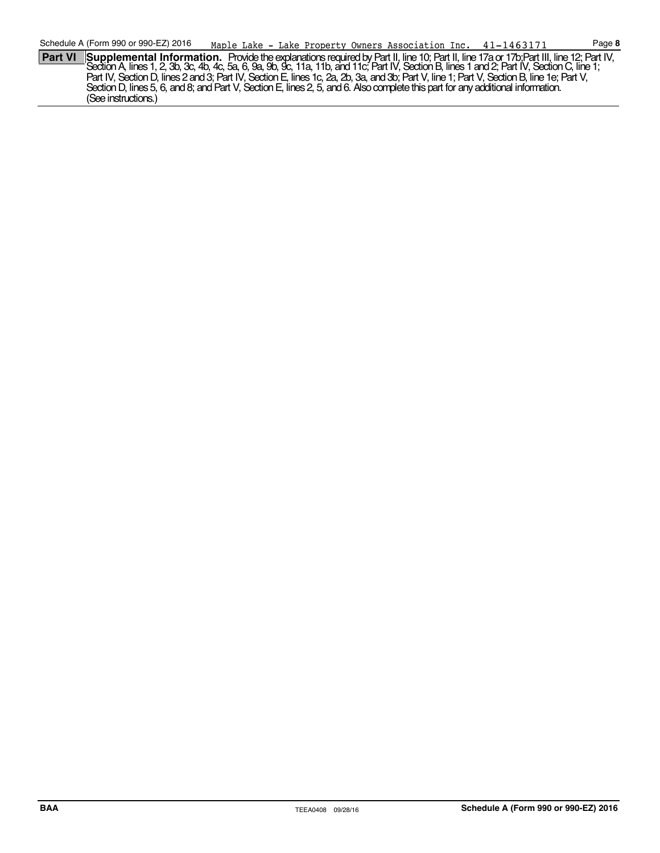**Part VI Supplemental Information.** Provide the explanations required by Part II, line 10; Part II, line 17a or 17b;Part III, line 12; Part IV,<br>Section A, lines 1, 2, 3b, 3c, 4b, 4c, 5a, 6, 9a, 9b, 9c, 11a, 11b, and 11c; P Part IV, Section D, lines 2 and 3; Part IV, Section E, lines 1c, 2a, 2b, 3a, and 3b; Part V, line 1; Part V, Section B, line 1e; Part V, Section D, lines 5, 6, and 8; and Part V, Section E, lines 2, 5, and 6. Also complete this part for any additional information. (See instructions.)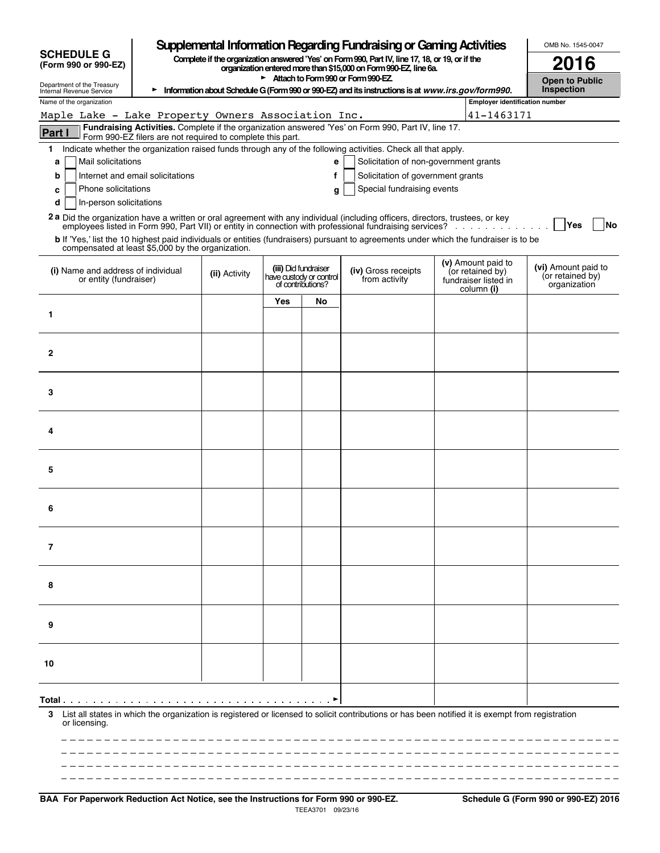|                                                                                                                                                                                                  |                                       |     |                                                                      | Supplemental Information Regarding Fundraising or Gaming Activities                                                                                                 |  |                                                                              | OMB No. 1545-0047                                       |
|--------------------------------------------------------------------------------------------------------------------------------------------------------------------------------------------------|---------------------------------------|-----|----------------------------------------------------------------------|---------------------------------------------------------------------------------------------------------------------------------------------------------------------|--|------------------------------------------------------------------------------|---------------------------------------------------------|
| <b>SCHEDULE G</b><br>(Form 990 or 990-EZ)                                                                                                                                                        |                                       |     |                                                                      | Complete if the organization answered 'Yes' on Form 990, Part IV, line 17, 18, or 19, or if the<br>organization entered more than \$15,000 on Form 990-EZ, line 6a. |  |                                                                              | 2016                                                    |
| Attach to Form 990 or Form 990-EZ<br>Department of the Treasury<br>Information about Schedule G (Form 990 or 990-EZ) and its instructions is at www.irs.gov/form990.<br>Internal Revenue Service |                                       |     |                                                                      |                                                                                                                                                                     |  |                                                                              | <b>Open to Public</b><br>Inspection                     |
| Name of the organization                                                                                                                                                                         | <b>Employer identification number</b> |     |                                                                      |                                                                                                                                                                     |  |                                                                              |                                                         |
| Maple Lake - Lake Property Owners Association Inc.                                                                                                                                               | 41-1463171                            |     |                                                                      |                                                                                                                                                                     |  |                                                                              |                                                         |
| Fundraising Activities. Complete if the organization answered 'Yes' on Form 990, Part IV, line 17.<br><b>Part I</b><br>Form 990-EZ filers are not required to complete this part.                |                                       |     |                                                                      |                                                                                                                                                                     |  |                                                                              |                                                         |
| Indicate whether the organization raised funds through any of the following activities. Check all that apply.<br>1                                                                               |                                       |     |                                                                      |                                                                                                                                                                     |  |                                                                              |                                                         |
| Mail solicitations<br>a                                                                                                                                                                          |                                       |     | e                                                                    | Solicitation of non-government grants                                                                                                                               |  |                                                                              |                                                         |
| Internet and email solicitations<br>b<br>Phone solicitations<br>c                                                                                                                                |                                       |     | f<br>g                                                               | Solicitation of government grants<br>Special fundraising events                                                                                                     |  |                                                                              |                                                         |
| In-person solicitations<br>d                                                                                                                                                                     |                                       |     |                                                                      |                                                                                                                                                                     |  |                                                                              |                                                         |
| 2a Did the organization have a written or oral agreement with any individual (including officers, directors, trustees, or key                                                                    |                                       |     |                                                                      |                                                                                                                                                                     |  |                                                                              |                                                         |
| b If 'Yes,' list the 10 highest paid individuals or entities (fundraisers) pursuant to agreements under which the fundraiser is to be                                                            |                                       |     |                                                                      |                                                                                                                                                                     |  |                                                                              | <b>Yes</b><br>No                                        |
| compensated at least \$5,000 by the organization.                                                                                                                                                |                                       |     |                                                                      |                                                                                                                                                                     |  |                                                                              |                                                         |
| (i) Name and address of individual<br>or entity (fundraiser)                                                                                                                                     | (ii) Activity                         |     | (iii) Did fundraiser<br>have custody or control<br>of contributions? | (iv) Gross receipts<br>from activity                                                                                                                                |  | (v) Amount paid to<br>(or retained by)<br>fundraiser listed in<br>column (i) | (vi) Amount paid to<br>(or retained by)<br>organization |
|                                                                                                                                                                                                  |                                       | Yes | No                                                                   |                                                                                                                                                                     |  |                                                                              |                                                         |
| 1                                                                                                                                                                                                |                                       |     |                                                                      |                                                                                                                                                                     |  |                                                                              |                                                         |
|                                                                                                                                                                                                  |                                       |     |                                                                      |                                                                                                                                                                     |  |                                                                              |                                                         |
| $\mathbf{2}$                                                                                                                                                                                     |                                       |     |                                                                      |                                                                                                                                                                     |  |                                                                              |                                                         |
|                                                                                                                                                                                                  |                                       |     |                                                                      |                                                                                                                                                                     |  |                                                                              |                                                         |
|                                                                                                                                                                                                  |                                       |     |                                                                      |                                                                                                                                                                     |  |                                                                              |                                                         |
| 3                                                                                                                                                                                                |                                       |     |                                                                      |                                                                                                                                                                     |  |                                                                              |                                                         |
|                                                                                                                                                                                                  |                                       |     |                                                                      |                                                                                                                                                                     |  |                                                                              |                                                         |
| 4                                                                                                                                                                                                |                                       |     |                                                                      |                                                                                                                                                                     |  |                                                                              |                                                         |
|                                                                                                                                                                                                  |                                       |     |                                                                      |                                                                                                                                                                     |  |                                                                              |                                                         |
| 5                                                                                                                                                                                                |                                       |     |                                                                      |                                                                                                                                                                     |  |                                                                              |                                                         |
|                                                                                                                                                                                                  |                                       |     |                                                                      |                                                                                                                                                                     |  |                                                                              |                                                         |
|                                                                                                                                                                                                  |                                       |     |                                                                      |                                                                                                                                                                     |  |                                                                              |                                                         |
| 6                                                                                                                                                                                                |                                       |     |                                                                      |                                                                                                                                                                     |  |                                                                              |                                                         |
|                                                                                                                                                                                                  |                                       |     |                                                                      |                                                                                                                                                                     |  |                                                                              |                                                         |
| $\overline{7}$                                                                                                                                                                                   |                                       |     |                                                                      |                                                                                                                                                                     |  |                                                                              |                                                         |
|                                                                                                                                                                                                  |                                       |     |                                                                      |                                                                                                                                                                     |  |                                                                              |                                                         |
| 8                                                                                                                                                                                                |                                       |     |                                                                      |                                                                                                                                                                     |  |                                                                              |                                                         |
|                                                                                                                                                                                                  |                                       |     |                                                                      |                                                                                                                                                                     |  |                                                                              |                                                         |
|                                                                                                                                                                                                  |                                       |     |                                                                      |                                                                                                                                                                     |  |                                                                              |                                                         |
| 9                                                                                                                                                                                                |                                       |     |                                                                      |                                                                                                                                                                     |  |                                                                              |                                                         |
|                                                                                                                                                                                                  |                                       |     |                                                                      |                                                                                                                                                                     |  |                                                                              |                                                         |
| 10                                                                                                                                                                                               |                                       |     |                                                                      |                                                                                                                                                                     |  |                                                                              |                                                         |
|                                                                                                                                                                                                  |                                       |     |                                                                      |                                                                                                                                                                     |  |                                                                              |                                                         |
| Total .                                                                                                                                                                                          |                                       |     |                                                                      |                                                                                                                                                                     |  |                                                                              |                                                         |
| List all states in which the organization is registered or licensed to solicit contributions or has been notified it is exempt from registration<br>3                                            |                                       |     |                                                                      |                                                                                                                                                                     |  |                                                                              |                                                         |
| or licensing.                                                                                                                                                                                    |                                       |     |                                                                      |                                                                                                                                                                     |  |                                                                              |                                                         |
|                                                                                                                                                                                                  |                                       |     |                                                                      |                                                                                                                                                                     |  |                                                                              |                                                         |
|                                                                                                                                                                                                  |                                       |     |                                                                      |                                                                                                                                                                     |  |                                                                              |                                                         |
|                                                                                                                                                                                                  |                                       |     |                                                                      |                                                                                                                                                                     |  |                                                                              |                                                         |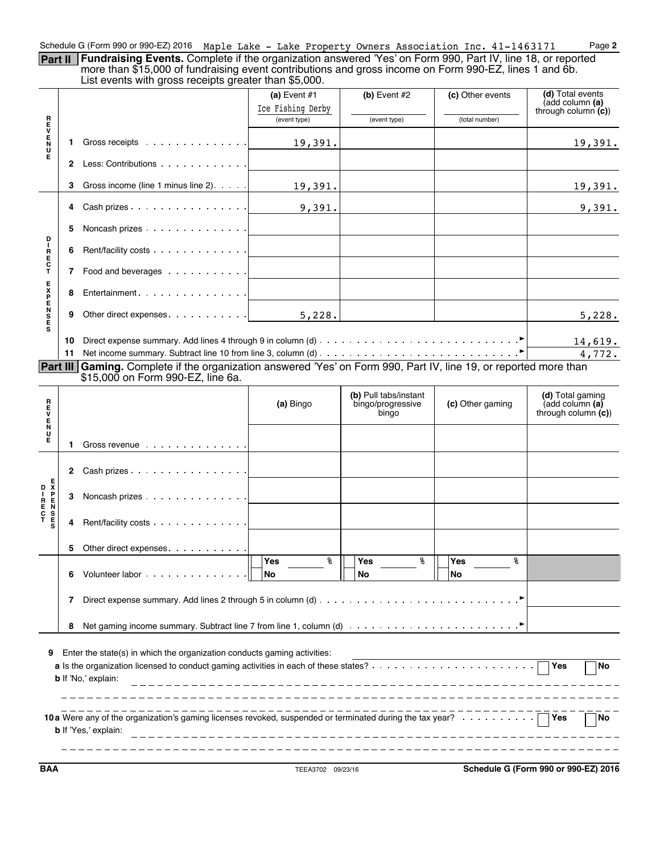| Schedule G (Form 990 or 990-EZ) 2016 Maple Lake - Lake Property Owners Association Inc. 41-1463171                          |  |  |  | Page 2 |
|-----------------------------------------------------------------------------------------------------------------------------|--|--|--|--------|
| <b>Part II   Fundraising Events.</b> Complete if the organization answered 'Yes' on Form 990, Part IV, line 18, or reported |  |  |  |        |

more than \$15,000 of fundraising event contributions and gross income on Form 990-EZ, lines 1 and 6b. List events with gross receipts greater than \$5,000.

|                            |                                   | $\frac{1}{2}$                                                                                                                                          |                   |                                                     |                        |                                                                 |  |  |  |
|----------------------------|-----------------------------------|--------------------------------------------------------------------------------------------------------------------------------------------------------|-------------------|-----------------------------------------------------|------------------------|-----------------------------------------------------------------|--|--|--|
|                            |                                   |                                                                                                                                                        | (a) Event $#1$    | (b) Event $#2$                                      | (c) Other events       | (d) Total events<br>(add column (a)                             |  |  |  |
|                            |                                   |                                                                                                                                                        | Ice Fishing Derby |                                                     |                        | through column $(c)$ )                                          |  |  |  |
|                            |                                   |                                                                                                                                                        | (event type)      | (event type)                                        | (total number)         |                                                                 |  |  |  |
| ロマロスロ                      | 1                                 |                                                                                                                                                        | 19,391.           |                                                     |                        | 19,391.                                                         |  |  |  |
| Е                          | $\mathbf{2}$                      | Less: Contributions                                                                                                                                    |                   |                                                     |                        |                                                                 |  |  |  |
|                            | 3                                 | Gross income (line 1 minus line 2)                                                                                                                     | 19,391.           |                                                     |                        | 19,391.                                                         |  |  |  |
|                            |                                   |                                                                                                                                                        |                   |                                                     |                        |                                                                 |  |  |  |
|                            | 4                                 |                                                                                                                                                        | 9,391.            |                                                     |                        | 9,391.                                                          |  |  |  |
| P                          | 5                                 | Noncash prizes                                                                                                                                         |                   |                                                     |                        |                                                                 |  |  |  |
| R<br>E<br>C<br>T           | 6                                 | Rent/facility costs                                                                                                                                    |                   |                                                     |                        |                                                                 |  |  |  |
|                            |                                   | 7 Food and beverages                                                                                                                                   |                   |                                                     |                        |                                                                 |  |  |  |
| 0002m7Xm                   | 8                                 |                                                                                                                                                        |                   |                                                     |                        |                                                                 |  |  |  |
|                            | 9                                 |                                                                                                                                                        | 5,228.            |                                                     |                        | 5,228.                                                          |  |  |  |
|                            | 10                                |                                                                                                                                                        |                   |                                                     |                        |                                                                 |  |  |  |
|                            |                                   |                                                                                                                                                        |                   |                                                     |                        | 14,619.                                                         |  |  |  |
|                            | 11                                |                                                                                                                                                        |                   |                                                     |                        | 4,772.                                                          |  |  |  |
|                            |                                   | Part III Gaming. Complete if the organization answered 'Yes' on Form 990, Part IV, line 19, or reported more than<br>\$15,000 on Form 990-EZ, line 6a. |                   |                                                     |                        |                                                                 |  |  |  |
|                            |                                   |                                                                                                                                                        |                   |                                                     |                        |                                                                 |  |  |  |
| R<br>E<br>V                |                                   |                                                                                                                                                        | (a) Bingo         | (b) Pull tabs/instant<br>bingo/progressive<br>bingo | (c) Other gaming       | (d) Total gaming<br>(add column $(a)$<br>through column $(c)$ ) |  |  |  |
| E<br>N<br>U<br>Е           | 1.                                | Gross revenue                                                                                                                                          |                   |                                                     |                        |                                                                 |  |  |  |
|                            | $\mathbf{2}$                      | Cash prizes                                                                                                                                            |                   |                                                     |                        |                                                                 |  |  |  |
| D I RENSE<br>C T RECT<br>S | з                                 | Noncash prizes                                                                                                                                         |                   |                                                     |                        |                                                                 |  |  |  |
|                            | 4                                 | Rent/facility costs                                                                                                                                    |                   |                                                     |                        |                                                                 |  |  |  |
|                            | 5                                 | Other direct expenses.                                                                                                                                 |                   |                                                     |                        |                                                                 |  |  |  |
|                            | 6                                 | Volunteer labor                                                                                                                                        | နွ<br>Yes<br>No   | နွ<br>Yes<br>No                                     | နွ<br>Yes<br><b>No</b> |                                                                 |  |  |  |
|                            | 7                                 |                                                                                                                                                        |                   |                                                     |                        |                                                                 |  |  |  |
|                            | 8                                 |                                                                                                                                                        |                   |                                                     |                        |                                                                 |  |  |  |
| 9                          |                                   | Enter the state(s) in which the organization conducts gaming activities:<br><b>b</b> If 'No,' explain:                                                 |                   |                                                     |                        | $\bigcap$ Yes<br><b>No</b>                                      |  |  |  |
|                            | No<br><b>b</b> If 'Yes,' explain: |                                                                                                                                                        |                   |                                                     |                        |                                                                 |  |  |  |

**BAA** TEEA3702 09/23/16 **Schedule G (Form 990 or 990-EZ) 2016**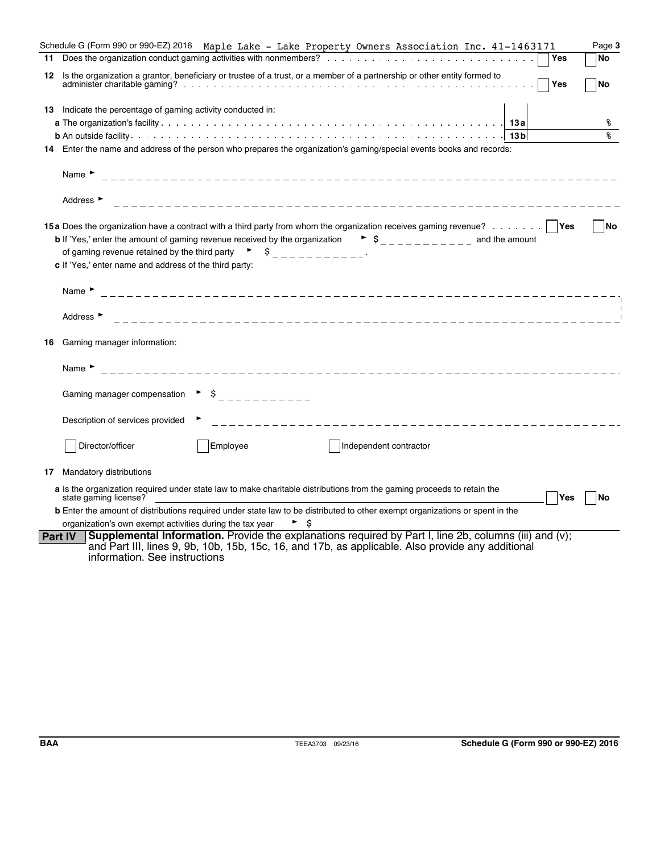|    | Schedule G (Form 990 or 990-EZ) 2016 Maple Lake – Lake Property Owners Association Inc. 41-1463171                                                                                                                                                                                                                                                                                                                                                                               | Page 3    |
|----|----------------------------------------------------------------------------------------------------------------------------------------------------------------------------------------------------------------------------------------------------------------------------------------------------------------------------------------------------------------------------------------------------------------------------------------------------------------------------------|-----------|
| 11 | Yes                                                                                                                                                                                                                                                                                                                                                                                                                                                                              | <b>No</b> |
| 12 | Is the organization a grantor, beneficiary or trustee of a trust, or a member of a partnership or other entity formed to<br>Yes                                                                                                                                                                                                                                                                                                                                                  | <b>No</b> |
|    | 13 Indicate the percentage of gaming activity conducted in:                                                                                                                                                                                                                                                                                                                                                                                                                      |           |
|    |                                                                                                                                                                                                                                                                                                                                                                                                                                                                                  | ៖         |
|    |                                                                                                                                                                                                                                                                                                                                                                                                                                                                                  | ዿ         |
|    | 14 Enter the name and address of the person who prepares the organization's gaming/special events books and records:                                                                                                                                                                                                                                                                                                                                                             |           |
|    | Name $\blacktriangleright$                                                                                                                                                                                                                                                                                                                                                                                                                                                       |           |
|    | Address $\blacktriangleright$                                                                                                                                                                                                                                                                                                                                                                                                                                                    |           |
|    | 15a Does the organization have a contract with a third party from whom the organization receives gaming revenue?   Yes<br><b>b</b> If 'Yes,' enter the amount of gaming revenue received by the organization $\bullet$ $\circ$ $\bullet$ $\circ$ $\bullet$ $\circ$ $\circ$ $\circ$ and the amount<br>of gaming revenue retained by the third party $\begin{bmatrix} 1 & 1 \\ 2 & -1 & -1 \\ 3 & -1 & -1 \end{bmatrix}$<br>c If 'Yes,' enter name and address of the third party: | No        |
|    | Name $\blacktriangleright$                                                                                                                                                                                                                                                                                                                                                                                                                                                       |           |
|    | Address ►                                                                                                                                                                                                                                                                                                                                                                                                                                                                        |           |
| 16 | Gaming manager information:                                                                                                                                                                                                                                                                                                                                                                                                                                                      |           |
|    | Name <b>F</b>                                                                                                                                                                                                                                                                                                                                                                                                                                                                    |           |
|    | Gaming manager compensation $\rightarrow$ $\frac{1}{2}$ $\rightarrow$ $\frac{1}{2}$ $\rightarrow$ $\frac{1}{2}$ $\rightarrow$ $\frac{1}{2}$ $\rightarrow$ $\frac{1}{2}$                                                                                                                                                                                                                                                                                                          |           |
|    | Description of services provided                                                                                                                                                                                                                                                                                                                                                                                                                                                 |           |
|    | Director/officer<br>Employee<br>Independent contractor                                                                                                                                                                                                                                                                                                                                                                                                                           |           |
| 17 | Mandatory distributions                                                                                                                                                                                                                                                                                                                                                                                                                                                          |           |
|    | a Is the organization required under state law to make charitable distributions from the gaming proceeds to retain the<br>state gaming license?<br>Yes                                                                                                                                                                                                                                                                                                                           | <b>No</b> |
|    | <b>b</b> Enter the amount of distributions required under state law to be distributed to other exempt organizations or spent in the                                                                                                                                                                                                                                                                                                                                              |           |
|    | organization's own exempt activities during the tax year                                                                                                                                                                                                                                                                                                                                                                                                                         |           |
|    | Supplemental Information. Provide the explanations required by Part I, line 2b, columns (iii) and (v);<br><b>Part IV</b><br>and Part III, lines 9, 9b, 10b, 15b, 15c, 16, and 17b, as applicable. Also provide any additional<br>information. See instructions                                                                                                                                                                                                                   |           |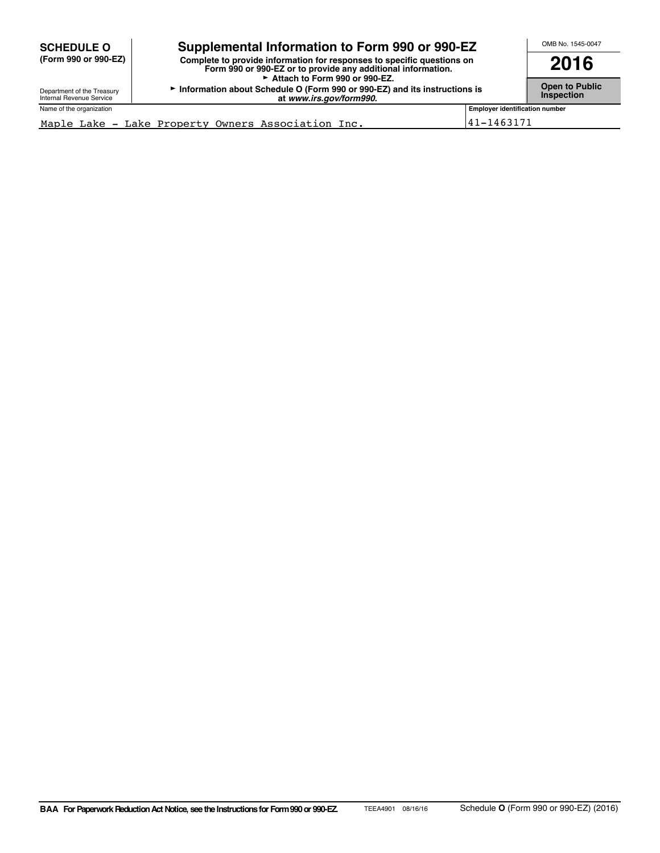| <b>SCHEDULE O</b>                                      | Supplemental Information to Form 990 or 990-EZ                            |                                       | OMB No. 1545-0047 |
|--------------------------------------------------------|---------------------------------------------------------------------------|---------------------------------------|-------------------|
| (Form 990 or 990-EZ)                                   | Complete to provide information for responses to specific questions on    | 2016                                  |                   |
| Department of the Treasury<br>Internal Revenue Service | Information about Schedule O (Form 990 or 990-EZ) and its instructions is | Open to Public<br><b>Inspection</b>   |                   |
| Name of the organization                               |                                                                           | <b>Employer identification number</b> |                   |
| Maple Lake - Lake Property Owners Association Inc.     | 41-1463171                                                                |                                       |                   |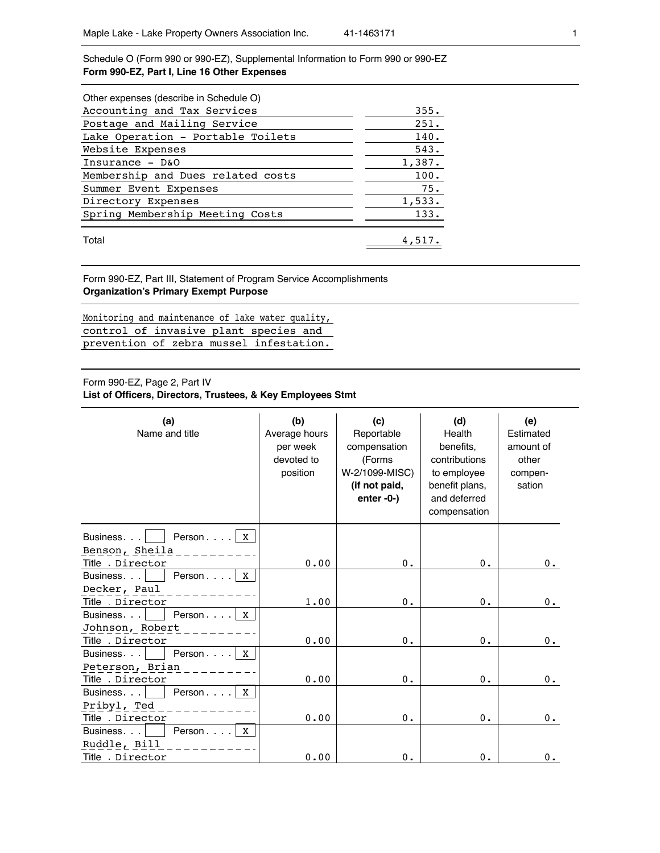Schedule O (Form 990 or 990-EZ), Supplemental Information to Form 990 or 990-EZ **Form 990-EZ, Part I, Line 16 Other Expenses**

| Other expenses (describe in Schedule O) |        |
|-----------------------------------------|--------|
| Accounting and Tax Services             | 355.   |
| Postage and Mailing Service             | 251.   |
| Lake Operation - Portable Toilets       | 140.   |
| Website Expenses                        | 543.   |
| Insurance $-$ D&O                       | 1,387. |
| Membership and Dues related costs       | 100.   |
| Summer Event Expenses                   | 75.    |
| Directory Expenses                      | 1,533. |
| Spring Membership Meeting Costs         | 133.   |
| Total                                   | 4,517. |

Form 990-EZ, Part III, Statement of Program Service Accomplishments **Organization's Primary Exempt Purpose**

Monitoring and maintenance of lake water quality, control of invasive plant species and prevention of zebra mussel infestation.

## Form 990-EZ, Page 2, Part IV

**List of Officers, Directors, Trustees, & Key Employees Stmt**

| (a)<br>Name and title              | (b)<br>Average hours<br>per week<br>devoted to<br>position | (c)<br>Reportable<br>compensation<br>(Forms<br>W-2/1099-MISC)<br>(if not paid,<br>$enter -0-$ ) | (d)<br>Health<br>benefits,<br>contributions<br>to employee<br>benefit plans,<br>and deferred<br>compensation | (e)<br>Estimated<br>amount of<br>other<br>compen-<br>sation |
|------------------------------------|------------------------------------------------------------|-------------------------------------------------------------------------------------------------|--------------------------------------------------------------------------------------------------------------|-------------------------------------------------------------|
| Person $\ldots$   X<br>Business.   |                                                            |                                                                                                 |                                                                                                              |                                                             |
| Benson, Sheila                     |                                                            |                                                                                                 |                                                                                                              |                                                             |
| Title Director                     | 0.00                                                       | $0$ .                                                                                           | $0$ .                                                                                                        | $0$ .                                                       |
| Person<br>X<br>Business.           |                                                            |                                                                                                 |                                                                                                              |                                                             |
| Decker, Paul                       |                                                            |                                                                                                 |                                                                                                              |                                                             |
| Title Director                     | 1.00                                                       | 0.                                                                                              | $0$ .                                                                                                        | $0$ .                                                       |
| Person<br>Business.  <br>X         |                                                            |                                                                                                 |                                                                                                              |                                                             |
| Johnson, Robert                    |                                                            |                                                                                                 |                                                                                                              |                                                             |
| Title . Director                   | 0.00                                                       | 0.                                                                                              | 0.                                                                                                           | $0$ .                                                       |
| Person<br>$\mathbf{X}$<br>Business |                                                            |                                                                                                 |                                                                                                              |                                                             |
| Peterson, Brian                    |                                                            |                                                                                                 |                                                                                                              |                                                             |
| Title Director                     | 0.00                                                       | 0.                                                                                              | 0.                                                                                                           | $0$ .                                                       |
| Person $\ldots$   X<br>Business.   |                                                            |                                                                                                 |                                                                                                              |                                                             |
| Pribyl, Ted                        |                                                            |                                                                                                 |                                                                                                              |                                                             |
| Title Director                     | 0.00                                                       | $0$ .                                                                                           | $0$ .                                                                                                        | $0$ .                                                       |
| Person<br>X<br>Business            |                                                            |                                                                                                 |                                                                                                              |                                                             |
| Ruddle, Bill                       |                                                            |                                                                                                 |                                                                                                              |                                                             |
| Title Director                     | 0.00                                                       | 0.                                                                                              | 0.                                                                                                           | $0$ .                                                       |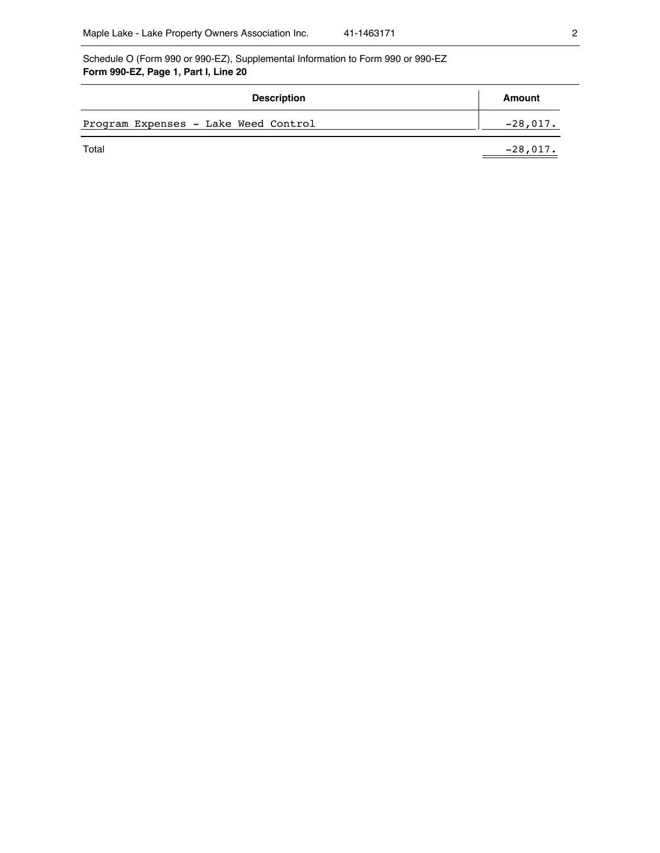Schedule O (Form 990 or 990-EZ), Supplemental Information to Form 990 or 990-EZ **Form 990-EZ, Page 1, Part I, Line 20** 

| <b>Description</b>                   | Amount     |
|--------------------------------------|------------|
| Program Expenses - Lake Weed Control | $-28,017.$ |
| Total                                | $-28,017.$ |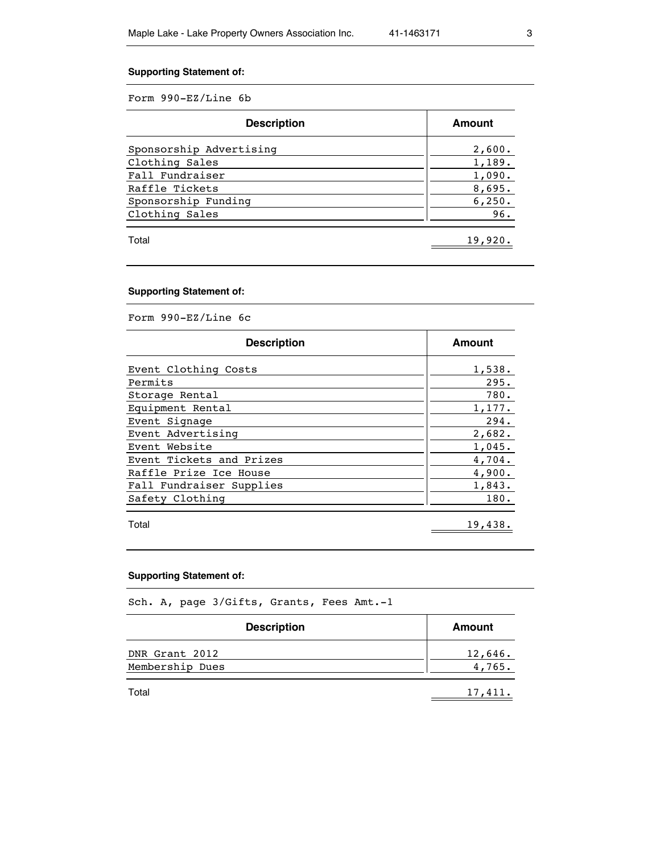# **Supporting Statement of:**

Form 990-EZ/Line 6b

| <b>Description</b>      | Amount  |
|-------------------------|---------|
| Sponsorship Advertising | 2,600.  |
| Clothing Sales          | 1,189.  |
| Fall Fundraiser         | 1,090.  |
| Raffle Tickets          | 8,695.  |
| Sponsorship Funding     | 6, 250. |
| Clothing Sales          | 96.     |
| Total                   | 19,920. |

# **Supporting Statement of:**

Form 990-EZ/Line 6c

| <b>Description</b>       | Amount  |
|--------------------------|---------|
| Event Clothing Costs     | 1,538.  |
| Permits                  | 295.    |
| Storage Rental           | 780.    |
| Equipment Rental         | 1,177.  |
| Event Signage            | 294.    |
| Event Advertising        | 2,682.  |
| Event Website            | 1,045.  |
| Event Tickets and Prizes | 4,704.  |
| Raffle Prize Ice House   | 4,900.  |
| Fall Fundraiser Supplies | 1,843.  |
| Safety Clothing          | 180.    |
| Total                    | 19,438. |

# **Supporting Statement of:**

Sch. A, page 3/Gifts, Grants, Fees Amt.-1

| <b>Description</b>                | Amount            |
|-----------------------------------|-------------------|
| DNR Grant 2012<br>Membership Dues | 12,646.<br>4,765. |
| Total                             | 17,411.           |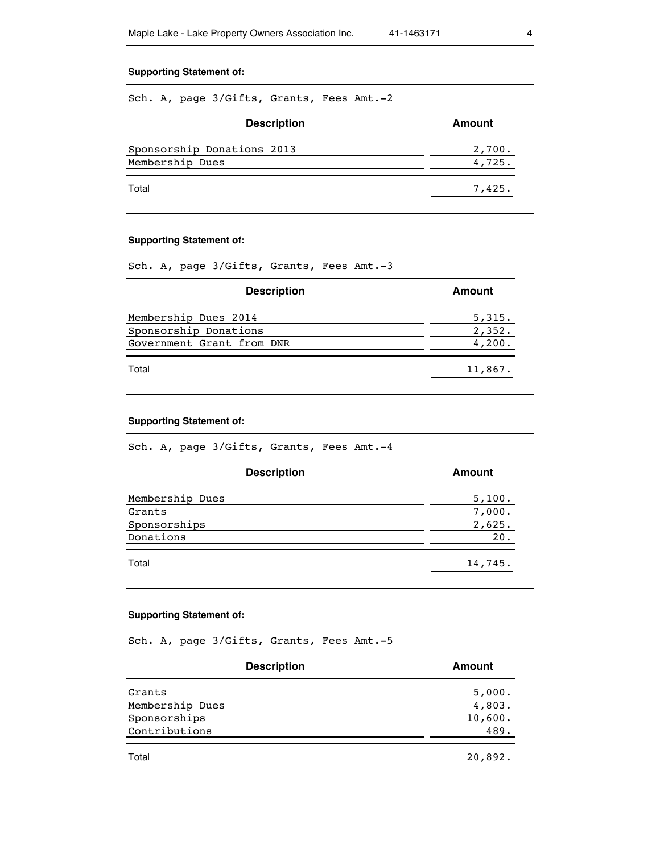## **Supporting Statement of:**

Sch. A, page 3/Gifts, Grants, Fees Amt.-2

| <b>Description</b>                            | Amount           |
|-----------------------------------------------|------------------|
| Sponsorship Donations 2013<br>Membership Dues | 2,700.<br>4,725. |
| Total                                         | 7,425.           |

## **Supporting Statement of:**

Sch. A, page 3/Gifts, Grants, Fees Amt.-3

| <b>Description</b>        | Amount  |
|---------------------------|---------|
| Membership Dues 2014      | 5,315.  |
| Sponsorship Donations     | 2,352.  |
| Government Grant from DNR | 4,200.  |
| Total                     | 11,867. |

## **Supporting Statement of:**

Sch. A, page 3/Gifts, Grants, Fees Amt.-4

| <b>Description</b> | Amount  |
|--------------------|---------|
| Membership Dues    | 5,100.  |
| Grants             | 7,000.  |
| Sponsorships       | 2,625.  |
| Donations          | 20.     |
| Total              | 14,745. |

## **Supporting Statement of:**

Sch. A, page 3/Gifts, Grants, Fees Amt.-5

| <b>Description</b> | <b>Amount</b> |
|--------------------|---------------|
| Grants             | 5,000.        |
| Membership Dues    | 4,803.        |
| Sponsorships       | 10,600.       |
| Contributions      | 489.          |
| Total              | 20,892.       |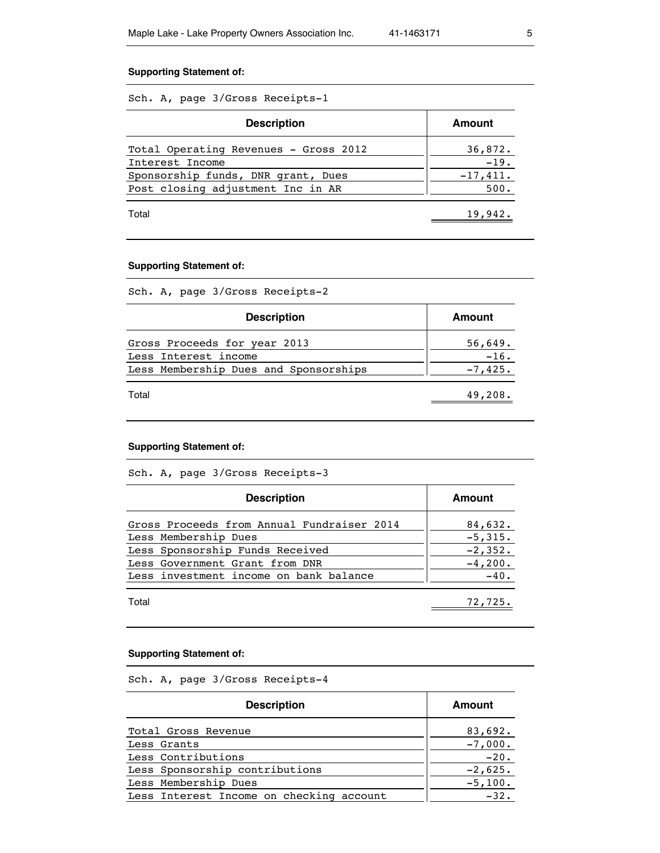## **Supporting Statement of:**

Sch. A, page 3/Gross Receipts-1

| <b>Description</b>                    | Amount     |
|---------------------------------------|------------|
| Total Operating Revenues - Gross 2012 | 36,872.    |
| Interest Income                       | $-19.$     |
| Sponsorship funds, DNR grant, Dues    | $-17,411.$ |
| Post closing adjustment Inc in AR     | 500.       |
| Total                                 | 19,942.    |

## **Supporting Statement of:**

Sch. A, page 3/Gross Receipts-2

| <b>Description</b>                                   | Amount            |
|------------------------------------------------------|-------------------|
| Gross Proceeds for year 2013<br>Less Interest income | 56,649.<br>$-16.$ |
| Less Membership Dues and Sponsorships                | $-7,425.$         |
| Total                                                | 49,208.           |

## **Supporting Statement of:**

Sch. A, page 3/Gross Receipts-3

| <b>Description</b>                         | Amount    |
|--------------------------------------------|-----------|
| Gross Proceeds from Annual Fundraiser 2014 | 84,632.   |
| Less Membership Dues                       | $-5,315.$ |
| Less Sponsorship Funds Received            | $-2,352.$ |
| Less Government Grant from DNR             | $-4,200.$ |
| Less investment income on bank balance     | $-40.$    |
| Total                                      | 72,725.   |

#### **Supporting Statement of:**

Sch. A, page 3/Gross Receipts-4

| <b>Description</b>                       | Amount    |
|------------------------------------------|-----------|
| Total Gross Revenue                      | 83,692.   |
| Less Grants                              | $-7,000.$ |
| Less Contributions                       | $-20.$    |
| Less Sponsorship contributions           | $-2,625.$ |
| Less Membership Dues                     | $-5,100.$ |
| Less Interest Income on checking account | $-32.$    |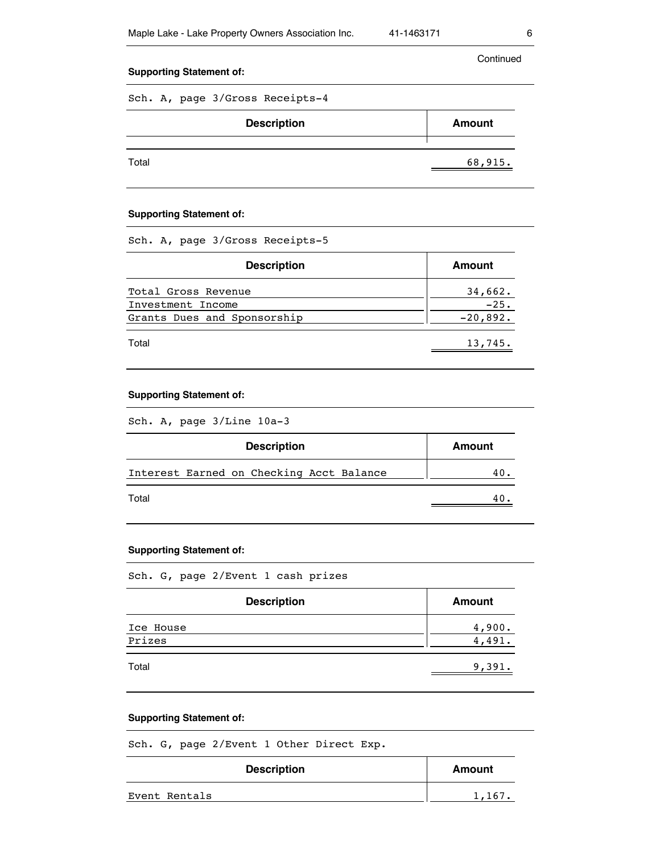Continued

## **Supporting Statement of:**

Sch. A, page 3/Gross Receipts-4

| <b>Description</b> | <b>Amount</b> |  |
|--------------------|---------------|--|
| Total              | 68,915.       |  |

## **Supporting Statement of:**

Sch. A, page 3/Gross Receipts-5

| <b>Description</b>          | Amount     |
|-----------------------------|------------|
| Total Gross Revenue         | 34,662.    |
| Investment Income           | $-25.$     |
| Grants Dues and Sponsorship | $-20,892.$ |
| Total                       | 13,745.    |

## **Supporting Statement of:**

Sch. A, page 3/Line 10a-3

| <b>Description</b>                       | Amount |
|------------------------------------------|--------|
| Interest Earned on Checking Acct Balance | 40.    |
| Total                                    | 40     |

## **Supporting Statement of:**

Sch. G, page 2/Event 1 cash prizes

| <b>Description</b>  | <b>Amount</b>    |
|---------------------|------------------|
| Ice House<br>Prizes | 4,900.<br>4,491. |
| Total               | 9,391.           |

#### **Supporting Statement of:**

Sch. G, page 2/Event 1 Other Direct Exp.

| <b>Description</b> | Amount |
|--------------------|--------|
| Event Rentals      | 1,167. |